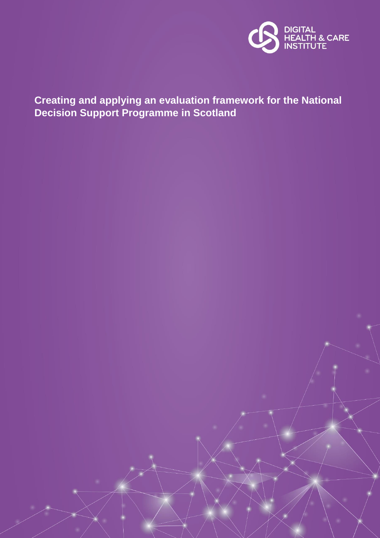

# **Creating and applying an evaluation framework for the National Decision Support Programme in Scotland**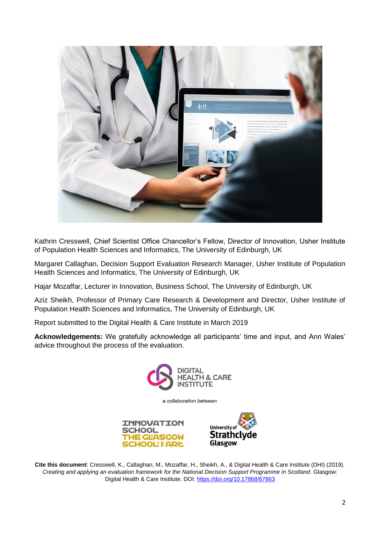

Kathrin Cresswell, Chief Scientist Office Chancellor's Fellow, Director of Innovation, Usher Institute of Population Health Sciences and Informatics, The University of Edinburgh, UK

Margaret Callaghan, Decision Support Evaluation Research Manager, Usher Institute of Population Health Sciences and Informatics, The University of Edinburgh, UK

Hajar Mozaffar, Lecturer in Innovation, Business School, The University of Edinburgh, UK

Aziz Sheikh, Professor of Primary Care Research & Development and Director, Usher Institute of Population Health Sciences and Informatics, The University of Edinburgh, UK

Report submitted to the Digital Health & Care Institute in March 2019

**Acknowledgements:** We gratefully acknowledge all participants' time and input, and Ann Wales' advice throughout the process of the evaluation.



a collaboration between



**Cite this document**: Cresswell, K., Callaghan, M., Mozaffar, H., Sheikh, A., & Digital Health & Care Institute (DHI) (2019). *Creating and applying an evaluation framework for the National Decision Support Programme in Scotland*. Glasgow: Digital Health & Care Institute. DOI[: https://doi.org/10.17868/67863](https://doi.org/10.17868/67863)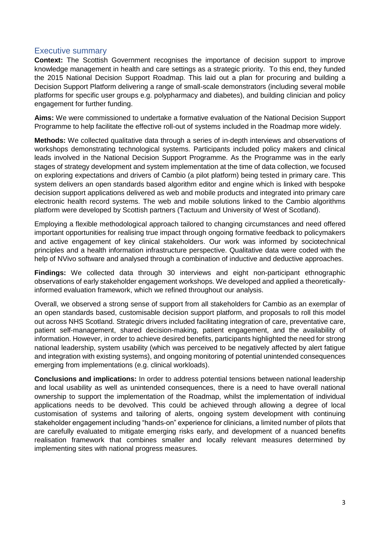# Executive summary

**Context:** The Scottish Government recognises the importance of decision support to improve knowledge management in health and care settings as a strategic priority. To this end, they funded the 2015 National Decision Support Roadmap. This laid out a plan for procuring and building a Decision Support Platform delivering a range of small-scale demonstrators (including several mobile platforms for specific user groups e.g. polypharmacy and diabetes), and building clinician and policy engagement for further funding.

**Aims:** We were commissioned to undertake a formative evaluation of the National Decision Support Programme to help facilitate the effective roll-out of systems included in the Roadmap more widely.

**Methods:** We collected qualitative data through a series of in-depth interviews and observations of workshops demonstrating technological systems. Participants included policy makers and clinical leads involved in the National Decision Support Programme. As the Programme was in the early stages of strategy development and system implementation at the time of data collection, we focused on exploring expectations and drivers of Cambio (a pilot platform) being tested in primary care. This system delivers an open standards based algorithm editor and engine which is linked with bespoke decision support applications delivered as web and mobile products and integrated into primary care electronic health record systems. The web and mobile solutions linked to the Cambio algorithms platform were developed by Scottish partners (Tactuum and University of West of Scotland).

Employing a flexible methodological approach tailored to changing circumstances and need offered important opportunities for realising true impact through ongoing formative feedback to policymakers and active engagement of key clinical stakeholders. Our work was informed by sociotechnical principles and a health information infrastructure perspective. Qualitative data were coded with the help of NVivo software and analysed through a combination of inductive and deductive approaches.

**Findings:** We collected data through 30 interviews and eight non-participant ethnographic observations of early stakeholder engagement workshops. We developed and applied a theoreticallyinformed evaluation framework, which we refined throughout our analysis.

Overall, we observed a strong sense of support from all stakeholders for Cambio as an exemplar of an open standards based, customisable decision support platform, and proposals to roll this model out across NHS Scotland. Strategic drivers included facilitating integration of care, preventative care, patient self-management, shared decision-making, patient engagement, and the availability of information. However, in order to achieve desired benefits, participants highlighted the need for strong national leadership, system usability (which was perceived to be negatively affected by alert fatigue and integration with existing systems), and ongoing monitoring of potential unintended consequences emerging from implementations (e.g. clinical workloads).

**Conclusions and implications:** In order to address potential tensions between national leadership and local usability as well as unintended consequences, there is a need to have overall national ownership to support the implementation of the Roadmap, whilst the implementation of individual applications needs to be devolved. This could be achieved through allowing a degree of local customisation of systems and tailoring of alerts, ongoing system development with continuing stakeholder engagement including "hands-on" experience for clinicians, a limited number of pilots that are carefully evaluated to mitigate emerging risks early, and development of a nuanced benefits realisation framework that combines smaller and locally relevant measures determined by implementing sites with national progress measures.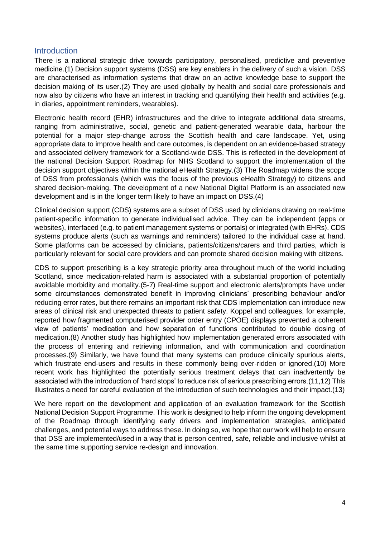# **Introduction**

There is a national strategic drive towards participatory, personalised, predictive and preventive medicine.(1) Decision support systems (DSS) are key enablers in the delivery of such a vision. DSS are characterised as information systems that draw on an active knowledge base to support the decision making of its user.(2) They are used globally by health and social care professionals and now also by citizens who have an interest in tracking and quantifying their health and activities (e.g. in diaries, appointment reminders, wearables).

Electronic health record (EHR) infrastructures and the drive to integrate additional data streams, ranging from administrative, social, genetic and patient-generated wearable data, harbour the potential for a major step-change across the Scottish health and care landscape. Yet, using appropriate data to improve health and care outcomes, is dependent on an evidence-based strategy and associated delivery framework for a Scotland-wide DSS. This is reflected in the development of the national Decision Support Roadmap for NHS Scotland to support the implementation of the decision support objectives within the national eHealth Strategy.(3) The Roadmap widens the scope of DSS from professionals (which was the focus of the previous eHealth Strategy) to citizens and shared decision-making. The development of a new National Digital Platform is an associated new development and is in the longer term likely to have an impact on DSS.(4)

Clinical decision support (CDS) systems are a subset of DSS used by clinicians drawing on real-time patient-specific information to generate individualised advice. They can be independent (apps or websites), interfaced (e.g. to patient management systems or portals) or integrated (with EHRs). CDS systems produce alerts (such as warnings and reminders) tailored to the individual case at hand. Some platforms can be accessed by clinicians, patients/citizens/carers and third parties, which is particularly relevant for social care providers and can promote shared decision making with citizens.

CDS to support prescribing is a key strategic priority area throughout much of the world including Scotland, since medication-related harm is associated with a substantial proportion of potentially avoidable morbidity and mortality.(5-7) Real-time support and electronic alerts/prompts have under some circumstances demonstrated benefit in improving clinicians' prescribing behaviour and/or reducing error rates, but there remains an important risk that CDS implementation can introduce new areas of clinical risk and unexpected threats to patient safety. Koppel and colleagues, for example, reported how fragmented computerised provider order entry (CPOE) displays prevented a coherent view of patients' medication and how separation of functions contributed to double dosing of medication.(8) Another study has highlighted how implementation generated errors associated with the process of entering and retrieving information, and with communication and coordination processes.(9) Similarly, we have found that many systems can produce clinically spurious alerts, which frustrate end-users and results in these commonly being over-ridden or ignored.(10) More recent work has highlighted the potentially serious treatment delays that can inadvertently be associated with the introduction of 'hard stops' to reduce risk of serious prescribing errors.(11,12) This illustrates a need for careful evaluation of the introduction of such technologies and their impact.(13)

We here report on the development and application of an evaluation framework for the Scottish National Decision Support Programme. This work is designed to help inform the ongoing development of the Roadmap through identifying early drivers and implementation strategies, anticipated challenges, and potential ways to address these. In doing so, we hope that our work will help to ensure that DSS are implemented/used in a way that is person centred, safe, reliable and inclusive whilst at the same time supporting service re-design and innovation.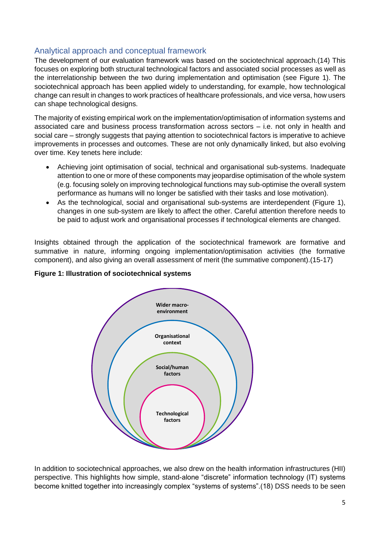# Analytical approach and conceptual framework

The development of our evaluation framework was based on the sociotechnical approach.(14) This focuses on exploring both structural technological factors and associated social processes as well as the interrelationship between the two during implementation and optimisation (see Figure 1). The sociotechnical approach has been applied widely to understanding, for example, how technological change can result in changes to work practices of healthcare professionals, and vice versa, how users can shape technological designs.

The majority of existing empirical work on the implementation/optimisation of information systems and associated care and business process transformation across sectors – i.e. not only in health and social care – strongly suggests that paying attention to sociotechnical factors is imperative to achieve improvements in processes and outcomes. These are not only dynamically linked, but also evolving over time. Key tenets here include:

- Achieving joint optimisation of social, technical and organisational sub-systems. Inadequate attention to one or more of these components may jeopardise optimisation of the whole system (e.g. focusing solely on improving technological functions may sub-optimise the overall system performance as humans will no longer be satisfied with their tasks and lose motivation).
- As the technological, social and organisational sub-systems are interdependent (Figure 1), changes in one sub-system are likely to affect the other. Careful attention therefore needs to be paid to adjust work and organisational processes if technological elements are changed.

Insights obtained through the application of the sociotechnical framework are formative and summative in nature, informing ongoing implementation/optimisation activities (the formative component), and also giving an overall assessment of merit (the summative component).(15-17)





In addition to sociotechnical approaches, we also drew on the health information infrastructures (HII) perspective. This highlights how simple, stand-alone "discrete" information technology (IT) systems become knitted together into increasingly complex "systems of systems".(18) DSS needs to be seen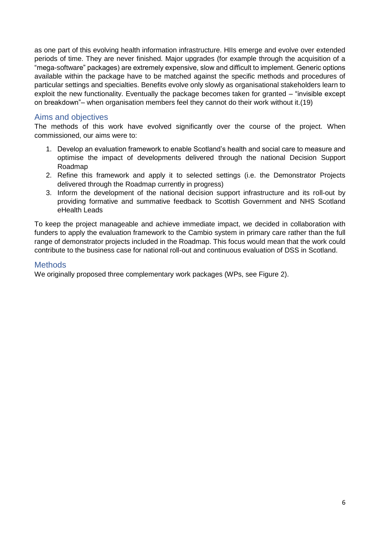as one part of this evolving health information infrastructure. HIIs emerge and evolve over extended periods of time. They are never finished. Major upgrades (for example through the acquisition of a "mega-software" packages) are extremely expensive, slow and difficult to implement. Generic options available within the package have to be matched against the specific methods and procedures of particular settings and specialties. Benefits evolve only slowly as organisational stakeholders learn to exploit the new functionality. Eventually the package becomes taken for granted – "invisible except on breakdown"– when organisation members feel they cannot do their work without it.(19)

# Aims and objectives

The methods of this work have evolved significantly over the course of the project. When commissioned, our aims were to:

- 1. Develop an evaluation framework to enable Scotland's health and social care to measure and optimise the impact of developments delivered through the national Decision Support Roadmap
- 2. Refine this framework and apply it to selected settings (i.e. the Demonstrator Projects delivered through the Roadmap currently in progress)
- 3. Inform the development of the national decision support infrastructure and its roll-out by providing formative and summative feedback to Scottish Government and NHS Scotland eHealth Leads

To keep the project manageable and achieve immediate impact, we decided in collaboration with funders to apply the evaluation framework to the Cambio system in primary care rather than the full range of demonstrator projects included in the Roadmap. This focus would mean that the work could contribute to the business case for national roll-out and continuous evaluation of DSS in Scotland.

# **Methods**

We originally proposed three complementary work packages (WPs, see Figure 2).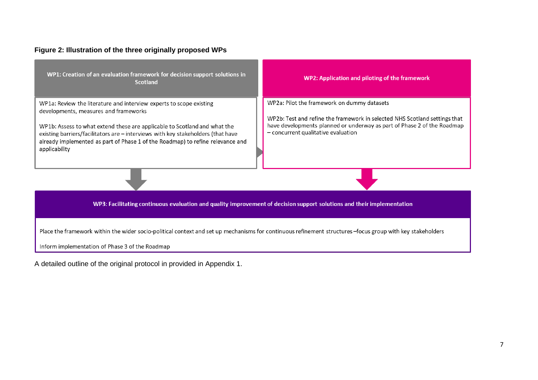# **Figure 2: Illustration of the three originally proposed WPs**

| WP1: Creation of an evaluation framework for decision support solutions in<br><b>Scotland</b>                                                                                                                                                                                                                                                                                    | WP2: Application and piloting of the framework                                                                                                                                                                                                |  |  |  |  |  |  |
|----------------------------------------------------------------------------------------------------------------------------------------------------------------------------------------------------------------------------------------------------------------------------------------------------------------------------------------------------------------------------------|-----------------------------------------------------------------------------------------------------------------------------------------------------------------------------------------------------------------------------------------------|--|--|--|--|--|--|
| WP1a: Review the literature and interview experts to scope existing<br>developments, measures and frameworks<br>WP1b: Assess to what extend these are applicable to Scotland and what the<br>existing barriers/facilitators are - interviews with key stakeholders (that have<br>already implemented as part of Phase 1 of the Roadmap) to refine relevance and<br>applicability | WP2a: Pilot the framework on dummy datasets<br>WP2b: Test and refine the framework in selected NHS Scotland settings that<br>have developments planned or underway as part of Phase 2 of the Roadmap<br>$-$ concurrent qualitative evaluation |  |  |  |  |  |  |
|                                                                                                                                                                                                                                                                                                                                                                                  |                                                                                                                                                                                                                                               |  |  |  |  |  |  |
| WP3: Facilitating continuous evaluation and quality improvement of decision support solutions and their implementation                                                                                                                                                                                                                                                           |                                                                                                                                                                                                                                               |  |  |  |  |  |  |
| Place the framework within the wider socio-political context and set up mechanisms for continuous refinement structures -focus group with key stakeholders<br>Inform implementation of Phase 3 of the Roadmap                                                                                                                                                                    |                                                                                                                                                                                                                                               |  |  |  |  |  |  |

A detailed outline of the original protocol in provided in Appendix 1.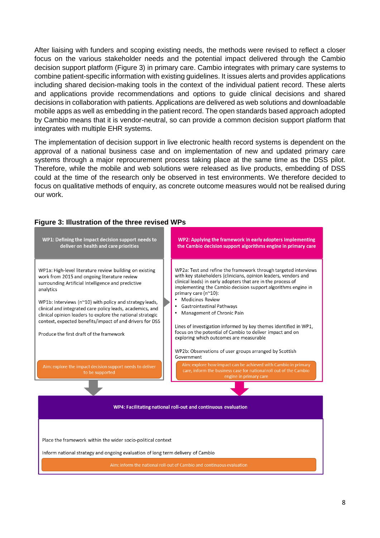After liaising with funders and scoping existing needs, the methods were revised to reflect a closer focus on the various stakeholder needs and the potential impact delivered through the Cambio decision support platform (Figure 3) in primary care. Cambio integrates with primary care systems to combine patient-specific information with existing guidelines. It issues alerts and provides applications including shared decision-making tools in the context of the individual patient record. These alerts and applications provide recommendations and options to guide clinical decisions and shared decisions in collaboration with patients. Applications are delivered as web solutions and downloadable mobile apps as well as embedding in the patient record. The open standards based approach adopted by Cambio means that it is vendor-neutral, so can provide a common decision support platform that integrates with multiple EHR systems.

The implementation of decision support in live electronic health record systems is dependent on the approval of a national business case and on implementation of new and updated primary care systems through a major reprocurement process taking place at the same time as the DSS pilot. Therefore, while the mobile and web solutions were released as live products, embedding of DSS could at the time of the research only be observed in test environments. We therefore decided to focus on qualitative methods of enquiry, as concrete outcome measures would not be realised during our work.

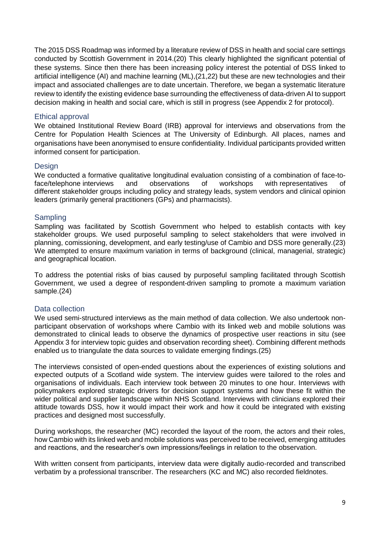The 2015 DSS Roadmap was informed by a literature review of DSS in health and social care settings conducted by Scottish Government in 2014.(20) This clearly highlighted the significant potential of these systems. Since then there has been increasing policy interest the potential of DSS linked to artificial intelligence (AI) and machine learning (ML),(21,22) but these are new technologies and their impact and associated challenges are to date uncertain. Therefore, we began a systematic literature review to identify the existing evidence base surrounding the effectiveness of data-driven AI to support decision making in health and social care, which is still in progress (see Appendix 2 for protocol).

#### Ethical approval

We obtained Institutional Review Board (IRB) approval for interviews and observations from the Centre for Population Health Sciences at The University of Edinburgh. All places, names and organisations have been anonymised to ensure confidentiality. Individual participants provided written informed consent for participation.

#### **Design**

We conducted a formative qualitative longitudinal evaluation consisting of a combination of face-toface/telephone interviews and observations of workshops with representatives of different stakeholder groups including policy and strategy leads, system vendors and clinical opinion leaders (primarily general practitioners (GPs) and pharmacists).

#### Sampling

Sampling was facilitated by Scottish Government who helped to establish contacts with key stakeholder groups. We used purposeful sampling to select stakeholders that were involved in planning, comissioning, development, and early testing/use of Cambio and DSS more generally.(23) We attempted to ensure maximum variation in terms of background (clinical, managerial, strategic) and geographical location.

To address the potential risks of bias caused by purposeful sampling facilitated through Scottish Government, we used a degree of respondent-driven sampling to promote a maximum variation sample.(24)

# Data collection

We used semi-structured interviews as the main method of data collection. We also undertook nonparticipant observation of workshops where Cambio with its linked web and mobile solutions was demonstrated to clinical leads to observe the dynamics of prospective user reactions in situ (see Appendix 3 for interview topic guides and observation recording sheet). Combining different methods enabled us to triangulate the data sources to validate emerging findings.(25)

The interviews consisted of open-ended questions about the experiences of existing solutions and expected outputs of a Scotland wide system. The interview guides were tailored to the roles and organisations of individuals. Each interview took between 20 minutes to one hour. Interviews with policymakers explored strategic drivers for decision support systems and how these fit within the wider political and supplier landscape within NHS Scotland. Interviews with clinicians explored their attitude towards DSS, how it would impact their work and how it could be integrated with existing practices and designed most successfully.

During workshops, the researcher (MC) recorded the layout of the room, the actors and their roles, how Cambio with its linked web and mobile solutions was perceived to be received, emerging attitudes and reactions, and the researcher's own impressions/feelings in relation to the observation.

With written consent from participants, interview data were digitally audio-recorded and transcribed verbatim by a professional transcriber. The researchers (KC and MC) also recorded fieldnotes.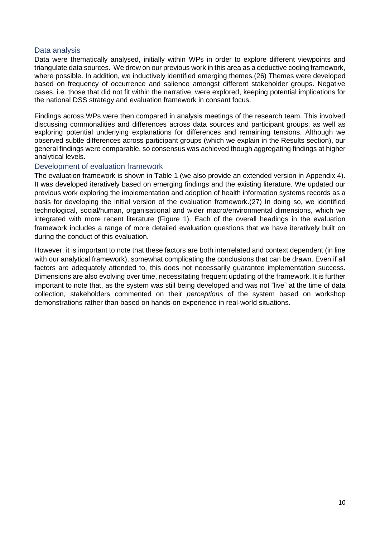#### Data analysis

Data were thematically analysed, initially within WPs in order to explore different viewpoints and triangulate data sources. We drew on our previous work in this area as a deductive coding framework, where possible. In addition, we inductively identified emerging themes.(26) Themes were developed based on frequency of occurrence and salience amongst different stakeholder groups. Negative cases, i.e. those that did not fit within the narrative, were explored, keeping potential implications for the national DSS strategy and evaluation framework in consant focus.

Findings across WPs were then compared in analysis meetings of the research team. This involved discussing commonalities and differences across data sources and participant groups, as well as exploring potential underlying explanations for differences and remaining tensions. Although we observed subtle differences across participant groups (which we explain in the Results section), our general findings were comparable, so consensus was achieved though aggregating findings at higher analytical levels.

#### Development of evaluation framework

The evaluation framework is shown in Table 1 (we also provide an extended version in Appendix 4). It was developed iteratively based on emerging findings and the existing literature. We updated our previous work exploring the implementation and adoption of health information systems records as a basis for developing the initial version of the evaluation framework.(27) In doing so, we identified technological, social/human, organisational and wider macro/environmental dimensions, which we integrated with more recent literature (Figure 1). Each of the overall headings in the evaluation framework includes a range of more detailed evaluation questions that we have iteratively built on during the conduct of this evaluation.

However, it is important to note that these factors are both interrelated and context dependent (in line with our analytical framework), somewhat complicating the conclusions that can be drawn. Even if all factors are adequately attended to, this does not necessarily guarantee implementation success. Dimensions are also evolving over time, necessitating frequent updating of the framework. It is further important to note that, as the system was still being developed and was not "live" at the time of data collection, stakeholders commented on their *perceptions* of the system based on workshop demonstrations rather than based on hands-on experience in real-world situations.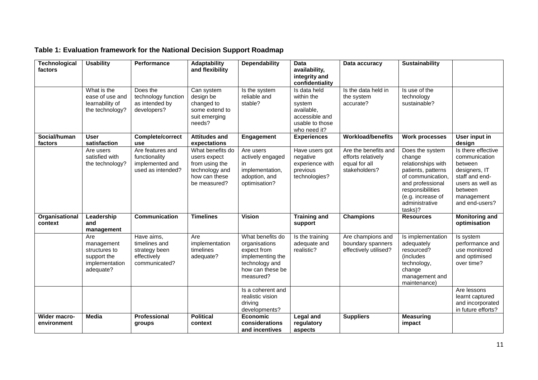| Technological<br>factors           | <b>Usability</b>                                                                 | Performance                                                                  | Adaptability<br>and flexibility                                                                       | <b>Dependability</b>                                                                                                    | <b>Data</b><br>availability,<br>integrity and<br>confidentiality                                        | Data accuracy                                                                | Sustainability                                                                                                                                                                       |                                                                                                                                                  |
|------------------------------------|----------------------------------------------------------------------------------|------------------------------------------------------------------------------|-------------------------------------------------------------------------------------------------------|-------------------------------------------------------------------------------------------------------------------------|---------------------------------------------------------------------------------------------------------|------------------------------------------------------------------------------|--------------------------------------------------------------------------------------------------------------------------------------------------------------------------------------|--------------------------------------------------------------------------------------------------------------------------------------------------|
|                                    | What is the<br>ease of use and<br>learnability of<br>the technology?             | Does the<br>technology function<br>as intended by<br>developers?             | Can system<br>design be<br>changed to<br>some extend to<br>suit emerging<br>needs?                    | Is the system<br>reliable and<br>stable?                                                                                | Is data held<br>within the<br>system<br>available,<br>accessible and<br>usable to those<br>who need it? | Is the data held in<br>the system<br>accurate?                               | Is use of the<br>technology<br>sustainable?                                                                                                                                          |                                                                                                                                                  |
| Social/human<br>factors            | <b>User</b><br>satisfaction                                                      | <b>Complete/correct</b><br>use                                               | <b>Attitudes and</b><br>expectations                                                                  | Engagement                                                                                                              | <b>Experiences</b>                                                                                      | <b>Workload/benefits</b>                                                     | <b>Work processes</b>                                                                                                                                                                | User input in<br>design                                                                                                                          |
|                                    | Are users<br>satisfied with<br>the technology?                                   | Are features and<br>functionality<br>implemented and<br>used as intended?    | What benefits do<br>users expect<br>from using the<br>technology and<br>how can these<br>be measured? | Are users<br>actively engaged<br>in<br>implementation,<br>adoption, and<br>optimisation?                                | Have users got<br>negative<br>experience with<br>previous<br>technologies?                              | Are the benefits and<br>efforts relatively<br>equal for all<br>stakeholders? | Does the system<br>change<br>relationships with<br>patients, patterns<br>of communication,<br>and professional<br>responsibilities<br>(e.g. increase of<br>administrative<br>tasks)? | Is there effective<br>communication<br>between<br>designers, IT<br>staff and end-<br>users as well as<br>between<br>management<br>and end-users? |
| Organisational<br>context          | Leadership<br>and<br>management                                                  | Communication                                                                | <b>Timelines</b>                                                                                      | <b>Vision</b>                                                                                                           | <b>Training and</b><br>support                                                                          | <b>Champions</b>                                                             | <b>Resources</b>                                                                                                                                                                     | <b>Monitoring and</b><br>optimisation                                                                                                            |
|                                    | Are<br>management<br>structures to<br>support the<br>implementation<br>adequate? | Have aims,<br>timelines and<br>strategy been<br>effectively<br>communicated? | Are<br>implementation<br>timelines<br>adequate?                                                       | What benefits do<br>organisations<br>expect from<br>implementing the<br>technology and<br>how can these be<br>measured? | Is the training<br>adequate and<br>realistic?                                                           | Are champions and<br>boundary spanners<br>effectively utilised?              | Is implementation<br>adequately<br>resourced?<br>(includes)<br>technology,<br>change<br>management and<br>maintenance)                                                               | Is system<br>performance and<br>use monitored<br>and optimised<br>over time?                                                                     |
|                                    |                                                                                  |                                                                              |                                                                                                       | Is a coherent and<br>realistic vision<br>driving<br>developments?                                                       |                                                                                                         |                                                                              |                                                                                                                                                                                      | Are lessons<br>learnt captured<br>and incorporated<br>in future efforts?                                                                         |
| <b>Wider macro-</b><br>environment | <b>Media</b>                                                                     | Professional<br>groups                                                       | <b>Political</b><br>context                                                                           | <b>Economic</b><br>considerations<br>and incentives                                                                     | <b>Legal and</b><br>regulatory<br>aspects                                                               | <b>Suppliers</b>                                                             | <b>Measuring</b><br>impact                                                                                                                                                           |                                                                                                                                                  |

# **Table 1: Evaluation framework for the National Decision Support Roadmap**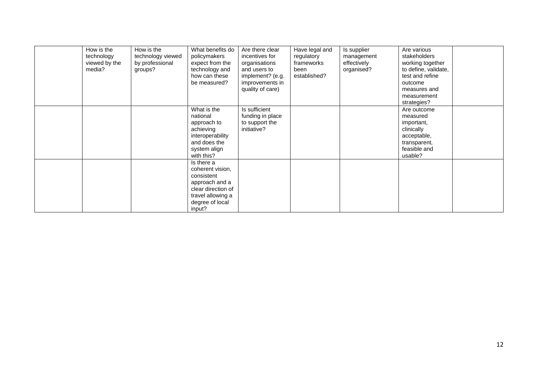| How is the    | How is the        | What benefits do   | Are there clear  | Have legal and | Is supplier | Are various          |  |
|---------------|-------------------|--------------------|------------------|----------------|-------------|----------------------|--|
| technology    | technology viewed | policymakers       | incentives for   | regulatory     | management  | stakeholders         |  |
| viewed by the | by professional   | expect from the    | organisations    | frameworks     | effectively | working together     |  |
| media?        | groups?           | technology and     | and users to     | been           | organised?  | to define, validate, |  |
|               |                   | how can these      | implement? (e.g. | established?   |             | test and refine      |  |
|               |                   | be measured?       | improvements in  |                |             | outcome              |  |
|               |                   |                    | quality of care) |                |             | measures and         |  |
|               |                   |                    |                  |                |             | measurement          |  |
|               |                   |                    |                  |                |             | strategies?          |  |
|               |                   | What is the        | Is sufficient    |                |             | Are outcome          |  |
|               |                   | national           | funding in place |                |             | measured             |  |
|               |                   | approach to        | to support the   |                |             | important,           |  |
|               |                   | achieving          | initiative?      |                |             | clinically           |  |
|               |                   | interoperability   |                  |                |             | acceptable,          |  |
|               |                   | and does the       |                  |                |             | transparent,         |  |
|               |                   | system align       |                  |                |             | feasible and         |  |
|               |                   | with this?         |                  |                |             | usable?              |  |
|               |                   | Is there a         |                  |                |             |                      |  |
|               |                   | coherent vision,   |                  |                |             |                      |  |
|               |                   | consistent         |                  |                |             |                      |  |
|               |                   | approach and a     |                  |                |             |                      |  |
|               |                   | clear direction of |                  |                |             |                      |  |
|               |                   | travel allowing a  |                  |                |             |                      |  |
|               |                   | degree of local    |                  |                |             |                      |  |
|               |                   | input?             |                  |                |             |                      |  |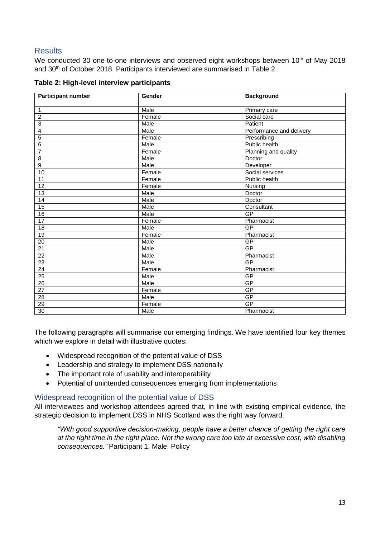# **Results**

We conducted 30 one-to-one interviews and observed eight workshops between 10<sup>th</sup> of May 2018 and 30<sup>th</sup> of October 2018. Participants interviewed are summarised in Table 2.

| <b>Participant number</b> | Gender | <b>Background</b>        |
|---------------------------|--------|--------------------------|
| $\mathbf{1}$              | Male   | Primary care             |
| $\overline{2}$            | Female | Social care              |
| $\overline{3}$            | Male   | Patient                  |
| $\overline{4}$            | Male   | Performance and delivery |
| $\overline{5}$            | Female | Prescribing              |
| 6                         | Male   | Public health            |
| $\overline{7}$            | Female | Planning and quality     |
| $\overline{8}$            | Male   | Doctor                   |
| $\overline{9}$            | Male   | Developer                |
| 10                        | Female | Social services          |
| 11                        | Female | Public health            |
| $\overline{12}$           | Female | Nursing                  |
| $\overline{13}$           | Male   | Doctor                   |
| $\overline{14}$           | Male   | Doctor                   |
|                           |        |                          |
| 15                        | Male   | Consultant<br>GP         |
| 16<br>17                  | Male   | Pharmacist               |
|                           | Female |                          |
| $\overline{18}$           | Male   | GP                       |
| 19                        | Female | Pharmacist               |
| $\overline{20}$           | Male   | GP                       |
| 21                        | Male   | GP                       |
| $\overline{22}$           | Male   | Pharmacist               |
| $\overline{23}$           | Male   | GP                       |
| 24                        | Female | Pharmacist               |
| 25                        | Male   | GP                       |
| 26                        | Male   | GP                       |
| $\overline{27}$           | Female | GP                       |
| $\overline{28}$           | Male   | GP                       |
| $\overline{29}$           | Female | GP                       |
| 30                        | Male   | Pharmacist               |

|  |  |  | Table 2: High-level interview participants |
|--|--|--|--------------------------------------------|
|--|--|--|--------------------------------------------|

The following paragraphs will summarise our emerging findings. We have identified four key themes which we explore in detail with illustrative quotes:

- Widespread recognition of the potential value of DSS
- Leadership and strategy to implement DSS nationally
- The important role of usability and interoperability
- Potential of unintended consequences emerging from implementations

# Widespread recognition of the potential value of DSS

All interviewees and workshop attendees agreed that, in line with existing empirical evidence, the strategic decision to implement DSS in NHS Scotland was the right way forward.

*"With good supportive decision-making, people have a better chance of getting the right care at the right time in the right place. Not the wrong care too late at excessive cost, with disabling consequences."* Participant 1, Male, Policy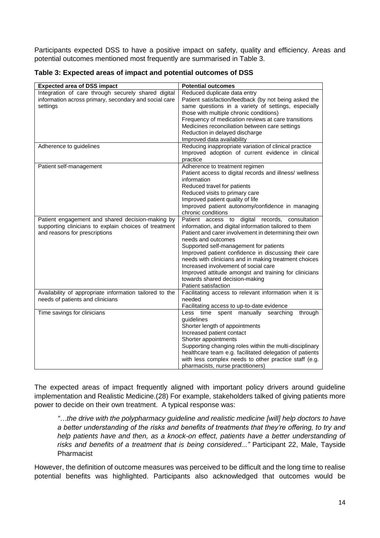Participants expected DSS to have a positive impact on safety, quality and efficiency. Areas and potential outcomes mentioned most frequently are summarised in Table 3.

|  | Table 3: Expected areas of impact and potential outcomes of DSS |  |
|--|-----------------------------------------------------------------|--|
|  |                                                                 |  |

| <b>Expected area of DSS impact</b>                                                                                                         | <b>Potential outcomes</b>                                                                                                                                                                                                                                                                                                                                                                                                                                                                                      |
|--------------------------------------------------------------------------------------------------------------------------------------------|----------------------------------------------------------------------------------------------------------------------------------------------------------------------------------------------------------------------------------------------------------------------------------------------------------------------------------------------------------------------------------------------------------------------------------------------------------------------------------------------------------------|
| Integration of care through securely shared digital<br>information across primary, secondary and social care<br>settings                   | Reduced duplicate data entry<br>Patient satisfaction/feedback (by not being asked the<br>same questions in a variety of settings, especially<br>those with multiple chronic conditions)<br>Frequency of medication reviews at care transitions<br>Medicines reconciliation between care settings<br>Reduction in delayed discharge<br>Improved data availability                                                                                                                                               |
| Adherence to guidelines                                                                                                                    | Reducing inappropriate variation of clinical practice<br>Improved adoption of current evidence in clinical<br>practice                                                                                                                                                                                                                                                                                                                                                                                         |
| Patient self-management                                                                                                                    | Adherence to treatment regimen<br>Patient access to digital records and illness/ wellness<br>information<br>Reduced travel for patients<br>Reduced visits to primary care<br>Improved patient quality of life<br>Improved patient autonomy/confidence in managing<br>chronic conditions                                                                                                                                                                                                                        |
| Patient engagement and shared decision-making by<br>supporting clinicians to explain choices of treatment<br>and reasons for prescriptions | Patient access to digital records, consultation<br>information, and digital information tailored to them<br>Patient and carer involvement in determining their own<br>needs and outcomes<br>Supported self-management for patients<br>Improved patient confidence in discussing their care<br>needs with clinicians and in making treatment choices<br>Increased involvement of social care<br>Improved attitude amongst and training for clinicians<br>towards shared decision-making<br>Patient satisfaction |
| Availability of appropriate information tailored to the<br>needs of patients and clinicians                                                | Facilitating access to relevant information when it is<br>needed<br>Facilitating access to up-to-date evidence                                                                                                                                                                                                                                                                                                                                                                                                 |
| Time savings for clinicians                                                                                                                | Less<br>time spent manually<br>searching<br>through<br>guidelines<br>Shorter length of appointments<br>Increased patient contact<br>Shorter appointments<br>Supporting changing roles within the multi-disciplinary<br>healthcare team e.g. facilitated delegation of patients<br>with less complex needs to other practice staff (e.g.<br>pharmacists, nurse practitioners)                                                                                                                                   |

The expected areas of impact frequently aligned with important policy drivers around guideline implementation and Realistic Medicine.(28) For example, stakeholders talked of giving patients more power to decide on their own treatment. A typical response was:

*"…the drive with the polypharmacy guideline and realistic medicine [will] help doctors to have a better understanding of the risks and benefits of treatments that they're offering, to try and help patients have and then, as a knock-on effect, patients have a better understanding of risks and benefits of a treatment that is being considered..."* Participant 22, Male, Tayside Pharmacist

However, the definition of outcome measures was perceived to be difficult and the long time to realise potential benefits was highlighted. Participants also acknowledged that outcomes would be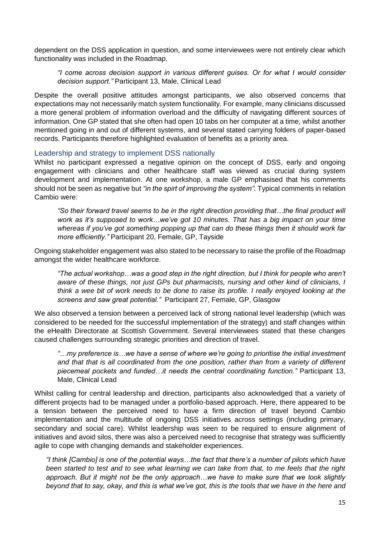dependent on the DSS application in question, and some interviewees were not entirely clear which functionality was included in the Roadmap.

*"I come across decision support in various different guises. Or for what I would consider decision support."* Participant 13, Male, Clinical Lead

Despite the overall positive attitudes amongst participants, we also observed concerns that expectations may not necessarily match system functionality. For example, many clinicians discussed a more general problem of information overload and the difficulty of navigating different sources of information. One GP stated that she often had open 10 tabs on her computer at a time, whilst another mentioned going in and out of different systems, and several stated carrying folders of paper-based records. Participants therefore highlighted evaluation of benefits as a priority area.

#### Leadership and strategy to implement DSS nationally

Whilst no participant expressed a negative opinion on the concept of DSS, early and ongoing engagement with clinicians and other healthcare staff was viewed as crucial during system development and implementation. At one workshop, a male GP emphasised that his comments should not be seen as negative but *"in the spirt of improving the system"*. Typical comments in relation Cambio were:

*"So their forward travel seems to be in the right direction providing that…the final product will work as it's supposed to work…we've got 10 minutes. That has a big impact on your time whereas if you've got something popping up that can do these things then it should work far more efficiently."* Participant 20, Female, GP, Tayside

Ongoing stakeholder engagement was also stated to be necessary to raise the profile of the Roadmap amongst the wider healthcare workforce.

*"The actual workshop…was a good step in the right direction, but I think for people who aren't aware of these things, not just GPs but pharmacists, nursing and other kind of clinicians, I think a wee bit of work needs to be done to raise its profile. I really enjoyed looking at the screens and saw great potential."* Participant 27, Female, GP, Glasgow

We also observed a tension between a perceived lack of strong national level leadership (which was considered to be needed for the successful implementation of the strategy) and staff changes within the eHealth Directorate at Scottish Government. Several interviewees stated that these changes caused challenges surrounding strategic priorities and direction of travel.

*"…my preference is…we have a sense of where we're going to prioritise the initial investment and that that is all coordinated from the one position, rather than from a variety of different piecemeal pockets and funded…it needs the central coordinating function."* Participant 13, Male, Clinical Lead

Whilst calling for central leadership and direction, participants also acknowledged that a variety of different projects had to be managed under a portfolio-based approach. Here, there appeared to be a tension between the perceived need to have a firm direction of travel beyond Cambio implementation and the multitude of ongoing DSS initiatives across settings (including primary, secondary and social care). Whilst leadership was seen to be required to ensure alignment of initiatives and avoid silos, there was also a perceived need to recognise that strategy was sufficiently agile to cope with changing demands and stakeholder experiences.

*"I think [Cambio] is one of the potential ways…the fact that there's a number of pilots which have been started to test and to see what learning we can take from that, to me feels that the right approach. But it might not be the only approach…we have to make sure that we look slightly beyond that to say, okay, and this is what we've got, this is the tools that we have in the here and*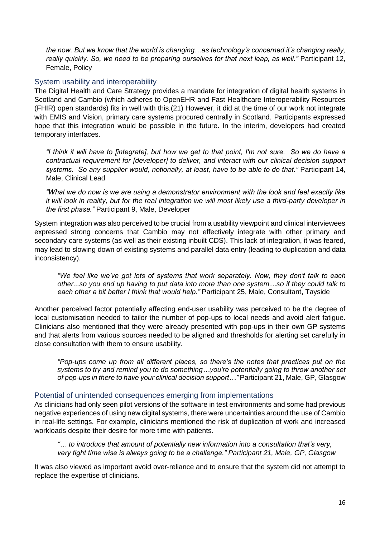*the now. But we know that the world is changing…as technology's concerned it's changing really, really quickly. So, we need to be preparing ourselves for that next leap, as well."* Participant 12, Female, Policy

#### System usability and interoperability

The Digital Health and Care Strategy provides a mandate for integration of digital health systems in Scotland and Cambio (which adheres to OpenEHR and Fast Healthcare Interoperability Resources (FHIR) open standards) fits in well with this.(21) However, it did at the time of our work not integrate with EMIS and Vision, primary care systems procured centrally in Scotland. Participants expressed hope that this integration would be possible in the future. In the interim, developers had created temporary interfaces.

*"I think it will have to [integrate], but how we get to that point, I'm not sure. So we do have a contractual requirement for [developer] to deliver, and interact with our clinical decision support systems. So any supplier would, notionally, at least, have to be able to do that."* Participant 14, Male, Clinical Lead

*"What we do now is we are using a demonstrator environment with the look and feel exactly like it will look in reality, but for the real integration we will most likely use a third-party developer in the first phase."* Participant 9, Male, Developer

System integration was also perceived to be crucial from a usability viewpoint and clinical interviewees expressed strong concerns that Cambio may not effectively integrate with other primary and secondary care systems (as well as their existing inbuilt CDS). This lack of integration, it was feared, may lead to slowing down of existing systems and parallel data entry (leading to duplication and data inconsistency).

*"We feel like we've got lots of systems that work separately. Now, they don't talk to each other...so you end up having to put data into more than one system…so if they could talk to*  each other a bit better I think that would help." Participant 25, Male, Consultant, Tayside

Another perceived factor potentially affecting end-user usability was perceived to be the degree of local customisation needed to tailor the number of pop-ups to local needs and avoid alert fatigue. Clinicians also mentioned that they were already presented with pop-ups in their own GP systems and that alerts from various sources needed to be aligned and thresholds for alerting set carefully in close consultation with them to ensure usability.

*"Pop-ups come up from all different places, so there's the notes that practices put on the systems to try and remind you to do something…you're potentially going to throw another set of pop-ups in there to have your clinical decision support…"* Participant 21, Male, GP, Glasgow

#### Potential of unintended consequences emerging from implementations

As clinicians had only seen pilot versions of the software in test environments and some had previous negative experiences of using new digital systems, there were uncertainties around the use of Cambio in real-life settings. For example, clinicians mentioned the risk of duplication of work and increased workloads despite their desire for more time with patients.

*"… to introduce that amount of potentially new information into a consultation that's very, very tight time wise is always going to be a challenge." Participant 21, Male, GP, Glasgow*

It was also viewed as important avoid over-reliance and to ensure that the system did not attempt to replace the expertise of clinicians.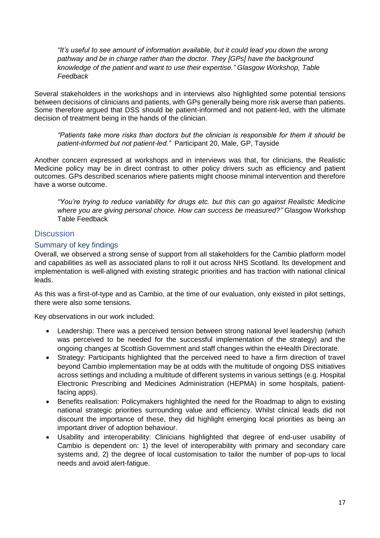*"It's useful to see amount of information available, but it could lead you down the wrong pathway and be in charge rather than the doctor. They [GPs] have the background knowledge of the patient and want to use their expertise." Glasgow Workshop, Table Feedback*

Several stakeholders in the workshops and in interviews also highlighted some potential tensions between decisions of clinicians and patients, with GPs generally being more risk averse than patients. Some therefore argued that DSS should be patient-informed and not patient-led, with the ultimate decision of treatment being in the hands of the clinician.

*"Patients take more risks than doctors but the clinician is responsible for them it should be patient-informed but not patient-led."* Participant 20, Male, GP, Tayside

Another concern expressed at workshops and in interviews was that, for clinicians, the Realistic Medicine policy may be in direct contrast to other policy drivers such as efficiency and patient outcomes. GPs described scenarios where patients might choose minimal intervention and therefore have a worse outcome.

*"You're trying to reduce variability for drugs etc. but this can go against Realistic Medicine where you are giving personal choice. How can success be measured?"* Glasgow Workshop Table Feedback

# **Discussion**

#### Summary of key findings

Overall, we observed a strong sense of support from all stakeholders for the Cambio platform model and capabilities as well as associated plans to roll it out across NHS Scotland. Its development and implementation is well-aligned with existing strategic priorities and has traction with national clinical leads.

As this was a first-of-type and as Cambio, at the time of our evaluation, only existed in pilot settings, there were also some tensions.

Key observations in our work included:

- Leadership: There was a perceived tension between strong national level leadership (which was perceived to be needed for the successful implementation of the strategy) and the ongoing changes at Scottish Government and staff changes within the eHealth Directorate.
- Strategy: Participants highlighted that the perceived need to have a firm direction of travel beyond Cambio implementation may be at odds with the multitude of ongoing DSS initiatives across settings and including a multitude of different systems in various settings (e.g. Hospital Electronic Prescribing and Medicines Administration (HEPMA) in some hospitals, patientfacing apps).
- Benefits realisation: Policymakers highlighted the need for the Roadmap to align to existing national strategic priorities surrounding value and efficiency. Whilst clinical leads did not discount the importance of these, they did highlight emerging local priorities as being an important driver of adoption behaviour.
- Usability and interoperability: Clinicians highlighted that degree of end-user usability of Cambio is dependent on: 1) the level of interoperability with primary and secondary care systems and, 2) the degree of local customisation to tailor the number of pop-ups to local needs and avoid alert-fatigue.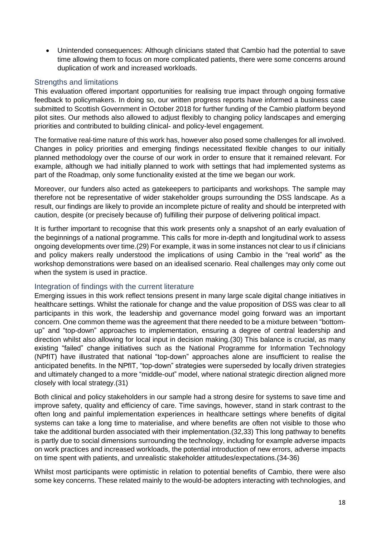Unintended consequences: Although clinicians stated that Cambio had the potential to save time allowing them to focus on more complicated patients, there were some concerns around duplication of work and increased workloads.

### Strengths and limitations

This evaluation offered important opportunities for realising true impact through ongoing formative feedback to policymakers. In doing so, our written progress reports have informed a business case submitted to Scottish Government in October 2018 for further funding of the Cambio platform beyond pilot sites. Our methods also allowed to adjust flexibly to changing policy landscapes and emerging priorities and contributed to building clinical- and policy-level engagement.

The formative real-time nature of this work has, however also posed some challenges for all involved. Changes in policy priorities and emerging findings necessitated flexible changes to our initially planned methodology over the course of our work in order to ensure that it remained relevant. For example, although we had initially planned to work with settings that had implemented systems as part of the Roadmap, only some functionality existed at the time we began our work.

Moreover, our funders also acted as gatekeepers to participants and workshops. The sample may therefore not be representative of wider stakeholder groups surrounding the DSS landscape. As a result, our findings are likely to provide an incomplete picture of reality and should be interpreted with caution, despite (or precisely because of) fulfilling their purpose of delivering political impact.

It is further important to recognise that this work presents only a snapshot of an early evaluation of the beginnings of a national programme. This calls for more in-depth and longitudinal work to assess ongoing developments over time.(29) For example, it was in some instances not clear to us if clinicians and policy makers really understood the implications of using Cambio in the "real world" as the workshop demonstrations were based on an idealised scenario. Real challenges may only come out when the system is used in practice.

#### Integration of findings with the current literature

Emerging issues in this work reflect tensions present in many large scale digital change initiatives in healthcare settings. Whilst the rationale for change and the value proposition of DSS was clear to all participants in this work, the leadership and governance model going forward was an important concern. One common theme was the agreement that there needed to be a mixture between "bottomup" and "top-down" approaches to implementation, ensuring a degree of central leadership and direction whilst also allowing for local input in decision making.(30) This balance is crucial, as many existing "failed" change initiatives such as the National Programme for Information Technology (NPfIT) have illustrated that national "top-down" approaches alone are insufficient to realise the anticipated benefits. In the NPfIT, "top-down" strategies were superseded by locally driven strategies and ultimately changed to a more "middle-out" model, where national strategic direction aligned more closely with local strategy.(31)

Both clinical and policy stakeholders in our sample had a strong desire for systems to save time and improve safety, quality and efficiency of care. Time savings, however, stand in stark contrast to the often long and painful implementation experiences in healthcare settings where benefits of digital systems can take a long time to materialise, and where benefits are often not visible to those who take the additional burden associated with their implementation.(32,33) This long pathway to benefits is partly due to social dimensions surrounding the technology, including for example adverse impacts on work practices and increased workloads, the potential introduction of new errors, adverse impacts on time spent with patients, and unrealistic stakeholder attitudes/expectations.(34-36)

Whilst most participants were optimistic in relation to potential benefits of Cambio, there were also some key concerns. These related mainly to the would-be adopters interacting with technologies, and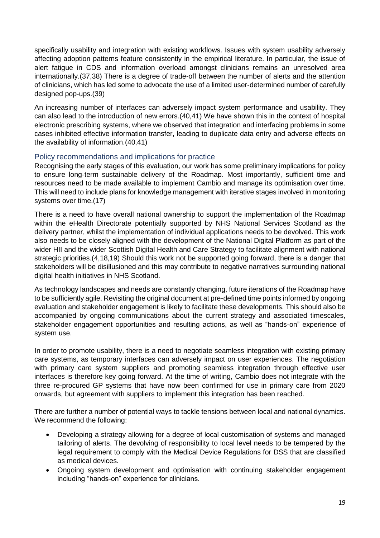specifically usability and integration with existing workflows. Issues with system usability adversely affecting adoption patterns feature consistently in the empirical literature. In particular, the issue of alert fatigue in CDS and information overload amongst clinicians remains an unresolved area internationally.(37,38) There is a degree of trade-off between the number of alerts and the attention of clinicians, which has led some to advocate the use of a limited user-determined number of carefully designed pop-ups.(39)

An increasing number of interfaces can adversely impact system performance and usability. They can also lead to the introduction of new errors.(40,41) We have shown this in the context of hospital electronic prescribing systems, where we observed that integration and interfacing problems in some cases inhibited effective information transfer, leading to duplicate data entry and adverse effects on the availability of information.(40,41)

# Policy recommendations and implications for practice

Recognising the early stages of this evaluation, our work has some preliminary implications for policy to ensure long-term sustainable delivery of the Roadmap. Most importantly, sufficient time and resources need to be made available to implement Cambio and manage its optimisation over time. This will need to include plans for knowledge management with iterative stages involved in monitoring systems over time.(17)

There is a need to have overall national ownership to support the implementation of the Roadmap within the eHealth Directorate potentially supported by NHS National Services Scotland as the delivery partner, whilst the implementation of individual applications needs to be devolved. This work also needs to be closely aligned with the development of the National Digital Platform as part of the wider HII and the wider Scottish Digital Health and Care Strategy to facilitate alignment with national strategic priorities.(4,18,19) Should this work not be supported going forward, there is a danger that stakeholders will be disillusioned and this may contribute to negative narratives surrounding national digital health initiatives in NHS Scotland.

As technology landscapes and needs are constantly changing, future iterations of the Roadmap have to be sufficiently agile. Revisiting the original document at pre-defined time points informed by ongoing evaluation and stakeholder engagement is likely to facilitate these developments. This should also be accompanied by ongoing communications about the current strategy and associated timescales, stakeholder engagement opportunities and resulting actions, as well as "hands-on" experience of system use.

In order to promote usability, there is a need to negotiate seamless integration with existing primary care systems, as temporary interfaces can adversely impact on user experiences. The negotiation with primary care system suppliers and promoting seamless integration through effective user interfaces is therefore key going forward. At the time of writing, Cambio does not integrate with the three re-procured GP systems that have now been confirmed for use in primary care from 2020 onwards, but agreement with suppliers to implement this integration has been reached.

There are further a number of potential ways to tackle tensions between local and national dynamics. We recommend the following:

- Developing a strategy allowing for a degree of local customisation of systems and managed tailoring of alerts. The devolving of responsibility to local level needs to be tempered by the legal requirement to comply with the Medical Device Regulations for DSS that are classified as medical devices.
- Ongoing system development and optimisation with continuing stakeholder engagement including "hands-on" experience for clinicians.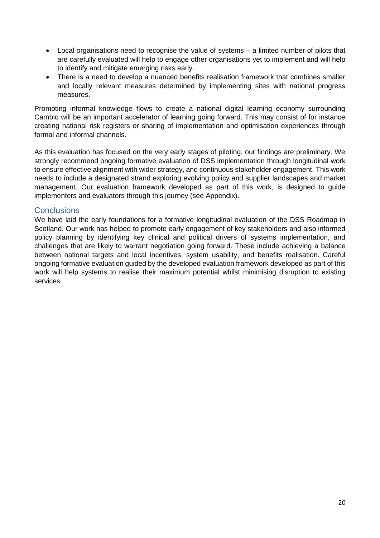- Local organisations need to recognise the value of systems a limited number of pilots that are carefully evaluated will help to engage other organisations yet to implement and will help to identify and mitigate emerging risks early.
- There is a need to develop a nuanced benefits realisation framework that combines smaller and locally relevant measures determined by implementing sites with national progress measures.

Promoting informal knowledge flows to create a national digital learning economy surrounding Cambio will be an important accelerator of learning going forward. This may consist of for instance creating national risk registers or sharing of implementation and optimisation experiences through formal and informal channels.

As this evaluation has focused on the very early stages of piloting, our findings are preliminary. We strongly recommend ongoing formative evaluation of DSS implementation through longitudinal work to ensure effective alignment with wider strategy, and continuous stakeholder engagement. This work needs to include a designated strand exploring evolving policy and supplier landscapes and market management. Our evaluation framework developed as part of this work, is designed to guide implementers and evaluators through this journey (see Appendix).

# **Conclusions**

We have laid the early foundations for a formative longitudinal evaluation of the DSS Roadmap in Scotland. Our work has helped to promote early engagement of key stakeholders and also informed policy planning by identifying key clinical and political drivers of systems implementation, and challenges that are likely to warrant negotiation going forward. These include achieving a balance between national targets and local incentives, system usability, and benefits realisation. Careful ongoing formative evaluation guided by the developed evaluation framework developed as part of this work will help systems to realise their maximum potential whilst minimising disruption to existing services.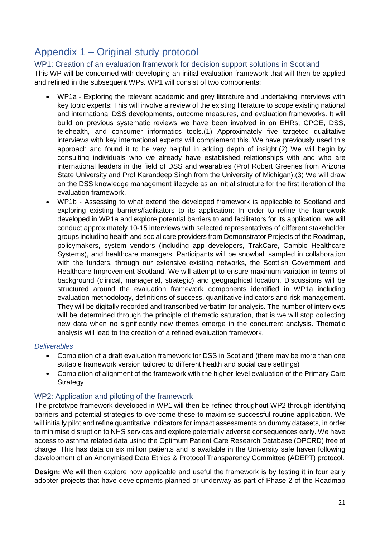# Appendix 1 – Original study protocol

WP1: Creation of an evaluation framework for decision support solutions in Scotland This WP will be concerned with developing an initial evaluation framework that will then be applied and refined in the subsequent WPs. WP1 will consist of two components:

- WP1a Exploring the relevant academic and grey literature and undertaking interviews with key topic experts: This will involve a review of the existing literature to scope existing national and international DSS developments, outcome measures, and evaluation frameworks. It will build on previous systematic reviews we have been involved in on EHRs, CPOE, DSS, telehealth, and consumer informatics tools.(1) Approximately five targeted qualitative interviews with key international experts will complement this. We have previously used this approach and found it to be very helpful in adding depth of insight.(2) We will begin by consulting individuals who we already have established relationships with and who are international leaders in the field of DSS and wearables (Prof Robert Greenes from Arizona State University and Prof Karandeep Singh from the University of Michigan).(3) We will draw on the DSS knowledge management lifecycle as an initial structure for the first iteration of the evaluation framework.
- WP1b Assessing to what extend the developed framework is applicable to Scotland and exploring existing barriers/facilitators to its application: In order to refine the framework developed in WP1a and explore potential barriers to and facilitators for its application, we will conduct approximately 10-15 interviews with selected representatives of different stakeholder groups including health and social care providers from Demonstrator Projects of the Roadmap, policymakers, system vendors (including app developers, TrakCare, Cambio Healthcare Systems), and healthcare managers. Participants will be snowball sampled in collaboration with the funders, through our extensive existing networks, the Scottish Government and Healthcare Improvement Scotland. We will attempt to ensure maximum variation in terms of background (clinical, managerial, strategic) and geographical location. Discussions will be structured around the evaluation framework components identified in WP1a including evaluation methodology, definitions of success, quantitative indicators and risk management. They will be digitally recorded and transcribed verbatim for analysis. The number of interviews will be determined through the principle of thematic saturation, that is we will stop collecting new data when no significantly new themes emerge in the concurrent analysis. Thematic analysis will lead to the creation of a refined evaluation framework.

#### *Deliverables*

- Completion of a draft evaluation framework for DSS in Scotland (there may be more than one suitable framework version tailored to different health and social care settings)
- Completion of alignment of the framework with the higher-level evaluation of the Primary Care **Strategy**

# WP2: Application and piloting of the framework

The prototype framework developed in WP1 will then be refined throughout WP2 through identifying barriers and potential strategies to overcome these to maximise successful routine application. We will initially pilot and refine quantitative indicators for impact assessments on dummy datasets, in order to minimise disruption to NHS services and explore potentially adverse consequences early. We have access to asthma related data using the Optimum Patient Care Research Database (OPCRD) free of charge. This has data on six million patients and is available in the University safe haven following development of an Anonymised Data Ethics & Protocol Transparency Committee (ADEPT) protocol.

**Design:** We will then explore how applicable and useful the framework is by testing it in four early adopter projects that have developments planned or underway as part of Phase 2 of the Roadmap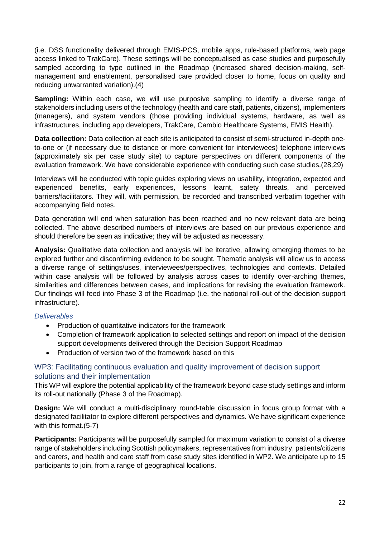(i.e. DSS functionality delivered through EMIS-PCS, mobile apps, rule-based platforms, web page access linked to TrakCare). These settings will be conceptualised as case studies and purposefully sampled according to type outlined in the Roadmap (increased shared decision-making, selfmanagement and enablement, personalised care provided closer to home, focus on quality and reducing unwarranted variation).(4)

**Sampling:** Within each case, we will use purposive sampling to identify a diverse range of stakeholders including users of the technology (health and care staff, patients, citizens), implementers (managers), and system vendors (those providing individual systems, hardware, as well as infrastructures, including app developers, TrakCare, Cambio Healthcare Systems, EMIS Health).

**Data collection:** Data collection at each site is anticipated to consist of semi-structured in-depth oneto-one or (if necessary due to distance or more convenient for interviewees) telephone interviews (approximately six per case study site) to capture perspectives on different components of the evaluation framework. We have considerable experience with conducting such case studies.(28,29)

Interviews will be conducted with topic guides exploring views on usability, integration, expected and experienced benefits, early experiences, lessons learnt, safety threats, and perceived barriers/facilitators. They will, with permission, be recorded and transcribed verbatim together with accompanying field notes.

Data generation will end when saturation has been reached and no new relevant data are being collected. The above described numbers of interviews are based on our previous experience and should therefore be seen as indicative; they will be adjusted as necessary.

**Analysis:** Qualitative data collection and analysis will be iterative, allowing emerging themes to be explored further and disconfirming evidence to be sought. Thematic analysis will allow us to access a diverse range of settings/uses, interviewees/perspectives, technologies and contexts. Detailed within case analysis will be followed by analysis across cases to identify over-arching themes. similarities and differences between cases, and implications for revising the evaluation framework. Our findings will feed into Phase 3 of the Roadmap (i.e. the national roll-out of the decision support infrastructure).

#### *Deliverables*

- Production of quantitative indicators for the framework
- Completion of framework application to selected settings and report on impact of the decision support developments delivered through the Decision Support Roadmap
- Production of version two of the framework based on this

# WP3: Facilitating continuous evaluation and quality improvement of decision support solutions and their implementation

This WP will explore the potential applicability of the framework beyond case study settings and inform its roll-out nationally (Phase 3 of the Roadmap).

**Design:** We will conduct a multi-disciplinary round-table discussion in focus group format with a designated facilitator to explore different perspectives and dynamics. We have significant experience with this format.(5-7)

**Participants:** Participants will be purposefully sampled for maximum variation to consist of a diverse range of stakeholders including Scottish policymakers, representatives from industry, patients/citizens and carers, and health and care staff from case study sites identified in WP2. We anticipate up to 15 participants to join, from a range of geographical locations.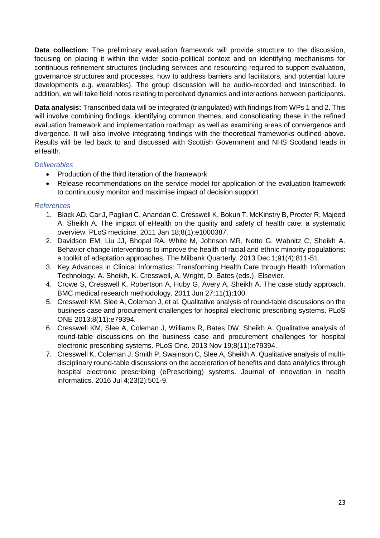**Data collection:** The preliminary evaluation framework will provide structure to the discussion, focusing on placing it within the wider socio-political context and on identifying mechanisms for continuous refinement structures (including services and resourcing required to support evaluation, governance structures and processes, how to address barriers and facilitators, and potential future developments e.g. wearables). The group discussion will be audio-recorded and transcribed. In addition, we will take field notes relating to perceived dynamics and interactions between participants.

**Data analysis:** Transcribed data will be integrated (triangulated) with findings from WPs 1 and 2. This will involve combining findings, identifying common themes, and consolidating these in the refined evaluation framework and implementation roadmap; as well as examining areas of convergence and divergence. It will also involve integrating findings with the theoretical frameworks outlined above. Results will be fed back to and discussed with Scottish Government and NHS Scotland leads in eHealth.

#### *Deliverables*

- Production of the third iteration of the framework
- Release recommendations on the service model for application of the evaluation framework to continuously monitor and maximise impact of decision support

#### *References*

- 1. Black AD, Car J, Pagliari C, Anandan C, Cresswell K, Bokun T, McKinstry B, Procter R, Majeed A, Sheikh A. The impact of eHealth on the quality and safety of health care: a systematic overview. PLoS medicine. 2011 Jan 18;8(1):e1000387.
- 2. Davidson EM, Liu JJ, Bhopal RA, White M, Johnson MR, Netto G, Wabnitz C, Sheikh A. Behavior change interventions to improve the health of racial and ethnic minority populations: a toolkit of adaptation approaches. The Milbank Quarterly. 2013 Dec 1;91(4):811-51.
- 3. Key Advances in Clinical Informatics: Transforming Health Care through Health Information Technology. A. Sheikh, K. Cresswell, A. Wright, D. Bates (eds.). Elsevier.
- 4. Crowe S, Cresswell K, Robertson A, Huby G, Avery A, Sheikh A. The case study approach. BMC medical research methodology. 2011 Jun 27;11(1):100.
- 5. Cresswell KM, Slee A, Coleman J, et al. Qualitative analysis of round-table discussions on the business case and procurement challenges for hospital electronic prescribing systems. PLoS ONE 2013;8(11):e79394.
- 6. Cresswell KM, Slee A, Coleman J, Williams R, Bates DW, Sheikh A. Qualitative analysis of round-table discussions on the business case and procurement challenges for hospital electronic prescribing systems. PLoS One. 2013 Nov 19;8(11):e79394.
- 7. Cresswell K, Coleman J, Smith P, Swainson C, Slee A, Sheikh A. Qualitative analysis of multidisciplinary round-table discussions on the acceleration of benefits and data analytics through hospital electronic prescribing (ePrescribing) systems. Journal of innovation in health informatics. 2016 Jul 4;23(2):501-9.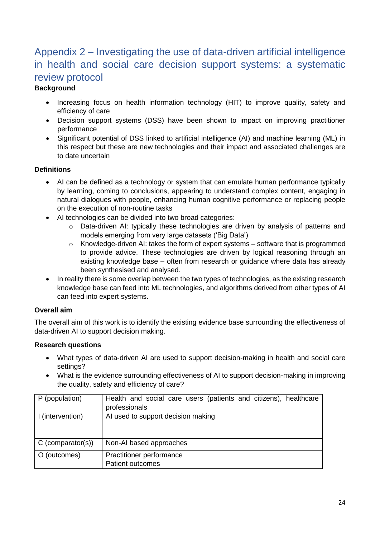# Appendix 2 – Investigating the use of data-driven artificial intelligence in health and social care decision support systems: a systematic review protocol

# **Background**

- Increasing focus on health information technology (HIT) to improve quality, safety and efficiency of care
- Decision support systems (DSS) have been shown to impact on improving practitioner performance
- Significant potential of DSS linked to artificial intelligence (AI) and machine learning (ML) in this respect but these are new technologies and their impact and associated challenges are to date uncertain

# **Definitions**

- AI can be defined as a technology or system that can emulate human performance typically by learning, coming to conclusions, appearing to understand complex content, engaging in natural dialogues with people, enhancing human cognitive performance or replacing people on the execution of non-routine tasks
- AI technologies can be divided into two broad categories:
	- o Data-driven AI: typically these technologies are driven by analysis of patterns and models emerging from very large datasets ('Big Data')
	- o Knowledge-driven AI: takes the form of expert systems software that is programmed to provide advice. These technologies are driven by logical reasoning through an existing knowledge base – often from research or guidance where data has already been synthesised and analysed.
- In reality there is some overlap between the two types of technologies, as the existing research knowledge base can feed into ML technologies, and algorithms derived from other types of AI can feed into expert systems.

# **Overall aim**

The overall aim of this work is to identify the existing evidence base surrounding the effectiveness of data-driven AI to support decision making.

# **Research questions**

- What types of data-driven AI are used to support decision-making in health and social care settings?
- What is the evidence surrounding effectiveness of AI to support decision-making in improving the quality, safety and efficiency of care?

| P (population)      | Health and social care users (patients and citizens), healthcare |
|---------------------|------------------------------------------------------------------|
|                     | professionals                                                    |
| I (intervention)    | AI used to support decision making                               |
| $C$ (comparator(s)) | Non-AI based approaches                                          |
| O (outcomes)        | Practitioner performance<br><b>Patient outcomes</b>              |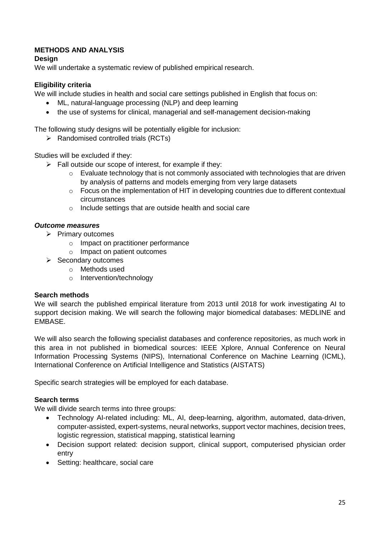# **METHODS AND ANALYSIS**

### **Design**

We will undertake a systematic review of published empirical research.

# **Eligibility criteria**

We will include studies in health and social care settings published in English that focus on:

- ML, natural-language processing (NLP) and deep learning
- the use of systems for clinical, managerial and self-management decision-making

The following study designs will be potentially eligible for inclusion:

 $\triangleright$  Randomised controlled trials (RCTs)

Studies will be excluded if they:

- $\triangleright$  Fall outside our scope of interest, for example if they:
	- $\circ$  Evaluate technology that is not commonly associated with technologies that are driven by analysis of patterns and models emerging from very large datasets
	- o Focus on the implementation of HIT in developing countries due to different contextual circumstances
	- $\circ$  Include settings that are outside health and social care

# *Outcome measures*

- $\triangleright$  Primary outcomes
	- o Impact on practitioner performance
	- o Impact on patient outcomes
- $\triangleright$  Secondary outcomes
	- o Methods used
	- o Intervention/technology

#### **Search methods**

We will search the published empirical literature from 2013 until 2018 for work investigating AI to support decision making. We will search the following major biomedical databases: MEDLINE and EMBASE.

We will also search the following specialist databases and conference repositories, as much work in this area in not published in biomedical sources: IEEE Xplore, Annual Conference on Neural Information Processing Systems (NIPS), International Conference on Machine Learning (ICML), International Conference on Artificial Intelligence and Statistics (AISTATS)

Specific search strategies will be employed for each database.

#### **Search terms**

We will divide search terms into three groups:

- Technology AI-related including: ML, AI, deep-learning, algorithm, automated, data-driven, computer-assisted, expert-systems, neural networks, support vector machines, decision trees, logistic regression, statistical mapping, statistical learning
- Decision support related: decision support, clinical support, computerised physician order entry
- Setting: healthcare, social care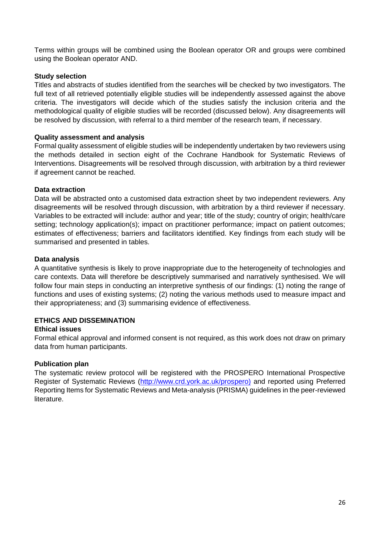Terms within groups will be combined using the Boolean operator OR and groups were combined using the Boolean operator AND.

#### **Study selection**

Titles and abstracts of studies identified from the searches will be checked by two investigators. The full text of all retrieved potentially eligible studies will be independently assessed against the above criteria. The investigators will decide which of the studies satisfy the inclusion criteria and the methodological quality of eligible studies will be recorded (discussed below). Any disagreements will be resolved by discussion, with referral to a third member of the research team, if necessary.

#### **Quality assessment and analysis**

Formal quality assessment of eligible studies will be independently undertaken by two reviewers using the methods detailed in section eight of the Cochrane Handbook for Systematic Reviews of Interventions. Disagreements will be resolved through discussion, with arbitration by a third reviewer if agreement cannot be reached.

#### **Data extraction**

Data will be abstracted onto a customised data extraction sheet by two independent reviewers. Any disagreements will be resolved through discussion, with arbitration by a third reviewer if necessary. Variables to be extracted will include: author and year; title of the study; country of origin; health/care setting; technology application(s); impact on practitioner performance; impact on patient outcomes; estimates of effectiveness; barriers and facilitators identified. Key findings from each study will be summarised and presented in tables.

#### **Data analysis**

A quantitative synthesis is likely to prove inappropriate due to the heterogeneity of technologies and care contexts. Data will therefore be descriptively summarised and narratively synthesised. We will follow four main steps in conducting an interpretive synthesis of our findings: (1) noting the range of functions and uses of existing systems; (2) noting the various methods used to measure impact and their appropriateness; and (3) summarising evidence of effectiveness.

# **ETHICS AND DISSEMINATION**

#### **Ethical issues**

Formal ethical approval and informed consent is not required, as this work does not draw on primary data from human participants.

#### **Publication plan**

The systematic review protocol will be registered with the PROSPERO International Prospective Register of Systematic Reviews [\(http://www.crd.york.ac.uk/prospero\)](http://www.crd.york.ac.uk/prospero)) and reported using Preferred Reporting Items for Systematic Reviews and Meta-analysis (PRISMA) guidelines in the peer-reviewed literature.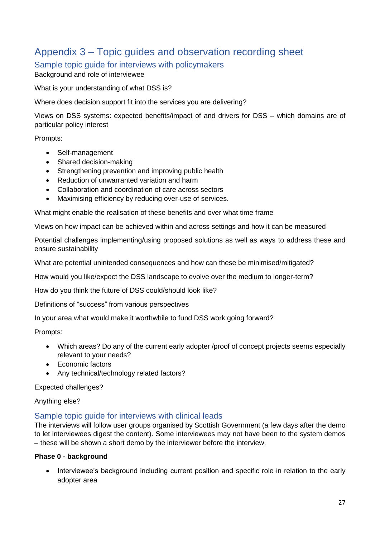# Appendix 3 – Topic guides and observation recording sheet

Sample topic guide for interviews with policymakers Background and role of interviewee

What is your understanding of what DSS is?

Where does decision support fit into the services you are delivering?

Views on DSS systems: expected benefits/impact of and drivers for DSS – which domains are of particular policy interest

Prompts:

- Self-management
- Shared decision-making
- Strengthening prevention and improving public health
- Reduction of unwarranted variation and harm
- Collaboration and coordination of care across sectors
- Maximising efficiency by reducing over-use of services.

What might enable the realisation of these benefits and over what time frame

Views on how impact can be achieved within and across settings and how it can be measured

Potential challenges implementing/using proposed solutions as well as ways to address these and ensure sustainability

What are potential unintended consequences and how can these be minimised/mitigated?

How would you like/expect the DSS landscape to evolve over the medium to longer-term?

How do you think the future of DSS could/should look like?

Definitions of "success" from various perspectives

In your area what would make it worthwhile to fund DSS work going forward?

Prompts:

- Which areas? Do any of the current early adopter /proof of concept projects seems especially relevant to your needs?
- Economic factors
- Any technical/technology related factors?

Expected challenges?

Anything else?

#### Sample topic guide for interviews with clinical leads

The interviews will follow user groups organised by Scottish Government (a few days after the demo to let interviewees digest the content). Some interviewees may not have been to the system demos – these will be shown a short demo by the interviewer before the interview.

#### **Phase 0 - background**

• Interviewee's background including current position and specific role in relation to the early adopter area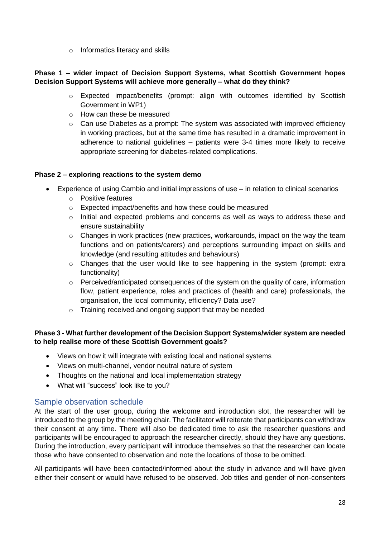o Informatics literacy and skills

#### **Phase 1 – wider impact of Decision Support Systems, what Scottish Government hopes Decision Support Systems will achieve more generally – what do they think?**

- o Expected impact/benefits (prompt: align with outcomes identified by Scottish Government in WP1)
- o How can these be measured
- o Can use Diabetes as a prompt: The system was associated with improved efficiency in working practices, but at the same time has resulted in a dramatic improvement in adherence to national guidelines – patients were 3-4 times more likely to receive appropriate screening for diabetes-related complications.

#### **Phase 2 – exploring reactions to the system demo**

- Experience of using Cambio and initial impressions of use in relation to clinical scenarios
	- o Positive features
	- o Expected impact/benefits and how these could be measured
	- o Initial and expected problems and concerns as well as ways to address these and ensure sustainability
	- $\circ$  Changes in work practices (new practices, workarounds, impact on the way the team functions and on patients/carers) and perceptions surrounding impact on skills and knowledge (and resulting attitudes and behaviours)
	- $\circ$  Changes that the user would like to see happening in the system (prompt: extra functionality)
	- o Perceived/anticipated consequences of the system on the quality of care, information flow, patient experience, roles and practices of (health and care) professionals, the organisation, the local community, efficiency? Data use?
	- o Training received and ongoing support that may be needed

# **Phase 3 - What further development of the Decision Support Systems/wider system are needed to help realise more of these Scottish Government goals?**

- Views on how it will integrate with existing local and national systems
- Views on multi-channel, vendor neutral nature of system
- Thoughts on the national and local implementation strategy
- What will "success" look like to you?

# Sample observation schedule

At the start of the user group, during the welcome and introduction slot, the researcher will be introduced to the group by the meeting chair. The facilitator will reiterate that participants can withdraw their consent at any time. There will also be dedicated time to ask the researcher questions and participants will be encouraged to approach the researcher directly, should they have any questions. During the introduction, every participant will introduce themselves so that the researcher can locate those who have consented to observation and note the locations of those to be omitted.

All participants will have been contacted/informed about the study in advance and will have given either their consent or would have refused to be observed. Job titles and gender of non-consenters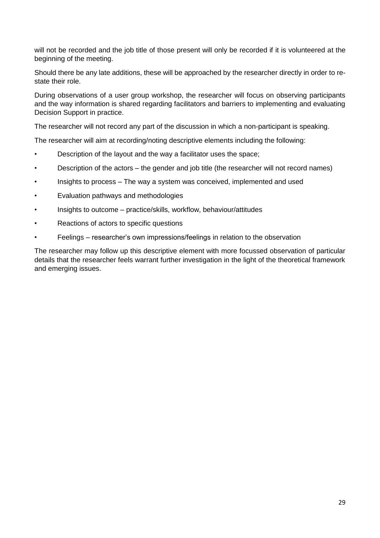will not be recorded and the job title of those present will only be recorded if it is volunteered at the beginning of the meeting.

Should there be any late additions, these will be approached by the researcher directly in order to restate their role.

During observations of a user group workshop, the researcher will focus on observing participants and the way information is shared regarding facilitators and barriers to implementing and evaluating Decision Support in practice.

The researcher will not record any part of the discussion in which a non-participant is speaking.

The researcher will aim at recording/noting descriptive elements including the following:

- Description of the layout and the way a facilitator uses the space;
- Description of the actors the gender and job title (the researcher will not record names)
- Insights to process The way a system was conceived, implemented and used
- Evaluation pathways and methodologies
- Insights to outcome practice/skills, workflow, behaviour/attitudes
- Reactions of actors to specific questions
- Feelings researcher's own impressions/feelings in relation to the observation

The researcher may follow up this descriptive element with more focussed observation of particular details that the researcher feels warrant further investigation in the light of the theoretical framework and emerging issues.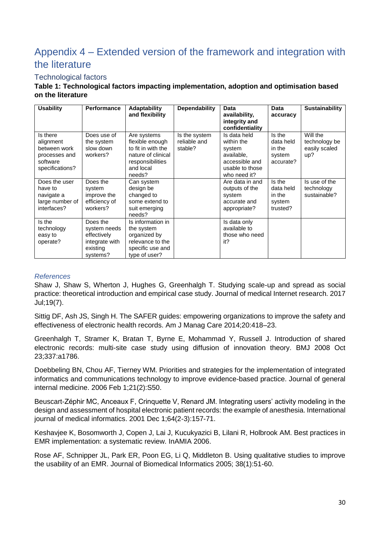# Appendix 4 – Extended version of the framework and integration with the literature

# Technological factors

#### **Table 1: Technological factors impacting implementation, adoption and optimisation based on the literature**

| <b>Usability</b>                                                                      | <b>Performance</b>                                                                | <b>Adaptability</b><br>and flexibility                                                                                | <b>Dependability</b>                     | <b>Data</b><br>availability,<br>integrity and<br>confidentiality                                        | Data<br>accuracy                                     | <b>Sustainability</b>                             |
|---------------------------------------------------------------------------------------|-----------------------------------------------------------------------------------|-----------------------------------------------------------------------------------------------------------------------|------------------------------------------|---------------------------------------------------------------------------------------------------------|------------------------------------------------------|---------------------------------------------------|
| Is there<br>alignment<br>between work<br>processes and<br>software<br>specifications? | Does use of<br>the system<br>slow down<br>workers?                                | Are systems<br>flexible enough<br>to fit in with the<br>nature of clinical<br>responsibilities<br>and local<br>needs? | Is the system<br>reliable and<br>stable? | Is data held<br>within the<br>system<br>available.<br>accessible and<br>usable to those<br>who need it? | Is the<br>data held<br>in the<br>system<br>accurate? | Will the<br>technology be<br>easily scaled<br>up? |
| Does the user<br>have to<br>navigate a<br>large number of<br>interfaces?              | Does the<br>system<br>improve the<br>efficiency of<br>workers?                    | Can system<br>design be<br>changed to<br>some extend to<br>suit emerging<br>needs?                                    |                                          | Are data in and<br>outputs of the<br>system<br>accurate and<br>appropriate?                             | Is the<br>data held<br>in the<br>system<br>trusted?  | Is use of the<br>technology<br>sustainable?       |
| Is the<br>technology<br>easy to<br>operate?                                           | Does the<br>system needs<br>effectively<br>integrate with<br>existing<br>systems? | Is information in<br>the system<br>organized by<br>relevance to the<br>specific use and<br>type of user?              |                                          | Is data only<br>available to<br>those who need<br>it?                                                   |                                                      |                                                   |

#### *References*

Shaw J, Shaw S, Wherton J, Hughes G, Greenhalgh T. Studying scale-up and spread as social practice: theoretical introduction and empirical case study. Journal of medical Internet research. 2017 Jul;19(7).

Sittig DF, Ash JS, Singh H. The SAFER guides: empowering organizations to improve the safety and effectiveness of electronic health records. Am J Manag Care 2014;20:418–23.

Greenhalgh T, Stramer K, Bratan T, Byrne E, Mohammad Y, Russell J. Introduction of shared electronic records: multi-site case study using diffusion of innovation theory. BMJ 2008 Oct 23;337:a1786.

Doebbeling BN, Chou AF, Tierney WM. Priorities and strategies for the implementation of integrated informatics and communications technology to improve evidence-based practice. Journal of general internal medicine. 2006 Feb 1;21(2):S50.

Beuscart-Zéphir MC, Anceaux F, Crinquette V, Renard JM. Integrating users' activity modeling in the design and assessment of hospital electronic patient records: the example of anesthesia. International journal of medical informatics. 2001 Dec 1;64(2-3):157-71.

Keshavjee K, Bosomworth J, Copen J, Lai J, Kucukyazici B, Lilani R, Holbrook AM. Best practices in EMR implementation: a systematic review. InAMIA 2006.

Rose AF, Schnipper JL, Park ER, Poon EG, Li Q, Middleton B. Using qualitative studies to improve the usability of an EMR. Journal of Biomedical Informatics 2005; 38(1):51-60.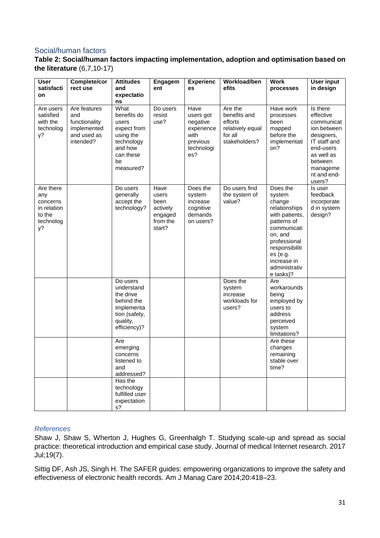# Social/human factors

### **Table 2: Social/human factors impacting implementation, adoption and optimisation based on the literature** (6,7,10-17)

| User<br>satisfacti<br>on                                                 | Complete/cor<br>rect use                                                        | <b>Attitudes</b><br>and<br>expectatio<br>ns                                                                       | <b>Engagem</b><br>ent                                              | <b>Experienc</b><br>es                                                               | Workload/ben<br>efits                                                              | Work<br>processes                                                                                                                                                                                  | <b>User input</b><br>in design                                                                                                                              |
|--------------------------------------------------------------------------|---------------------------------------------------------------------------------|-------------------------------------------------------------------------------------------------------------------|--------------------------------------------------------------------|--------------------------------------------------------------------------------------|------------------------------------------------------------------------------------|----------------------------------------------------------------------------------------------------------------------------------------------------------------------------------------------------|-------------------------------------------------------------------------------------------------------------------------------------------------------------|
| Are users<br>satisfied<br>with the<br>technolog<br>у?                    | Are features<br>and<br>functionality<br>implemented<br>and used as<br>intended? | What<br>benefits do<br>users<br>expect from<br>using the<br>technology<br>and how<br>can these<br>be<br>measured? | Do users<br>resist<br>use?                                         | Have<br>users got<br>negative<br>experience<br>with<br>previous<br>technologi<br>es? | Are the<br>benefits and<br>efforts<br>relatively equal<br>for all<br>stakeholders? | Have work<br>processes<br>been<br>mapped<br>before the<br>implementati<br>on?                                                                                                                      | Is there<br>effective<br>communicat<br>ion between<br>designers,<br>IT staff and<br>end-users<br>as well as<br>between<br>manageme<br>nt and end-<br>users? |
| Are there<br>any<br>concerns<br>in relation<br>to the<br>technolog<br>y? |                                                                                 | Do users<br>generally<br>accept the<br>technology?                                                                | Have<br>users<br>been<br>actively<br>engaged<br>from the<br>start? | Does the<br>system<br>increase<br>cognitive<br>demands<br>on users?                  | Do users find<br>the system of<br>value?                                           | Does the<br>system<br>change<br>relationships<br>with patients,<br>patterns of<br>communicati<br>on, and<br>professional<br>responsibiliti<br>es(e.g.<br>increase in<br>administrativ<br>e tasks)? | Is user<br>feedback<br>incorporate<br>d in system<br>design?                                                                                                |
|                                                                          |                                                                                 | Do users<br>understand<br>the drive<br>behind the<br>implementa<br>tion (safety,<br>quality,<br>efficiency)?      |                                                                    |                                                                                      | Does the<br>system<br>increase<br>workloads for<br>users?                          | Are<br>workarounds<br>being<br>employed by<br>users to<br>address<br>perceived<br>system<br>limitations?                                                                                           |                                                                                                                                                             |
|                                                                          |                                                                                 | Are<br>emerging<br>concerns<br>listened to<br>and<br>addressed?                                                   |                                                                    |                                                                                      |                                                                                    | Are these<br>changes<br>remaining<br>stable over<br>time?                                                                                                                                          |                                                                                                                                                             |
|                                                                          |                                                                                 | Has the<br>technology<br>fulfilled user<br>expectation<br>s?                                                      |                                                                    |                                                                                      |                                                                                    |                                                                                                                                                                                                    |                                                                                                                                                             |

#### *References*

Shaw J, Shaw S, Wherton J, Hughes G, Greenhalgh T. Studying scale-up and spread as social practice: theoretical introduction and empirical case study. Journal of medical Internet research. 2017 Jul;19(7).

Sittig DF, Ash JS, Singh H. The SAFER guides: empowering organizations to improve the safety and effectiveness of electronic health records. Am J Manag Care 2014;20:418–23.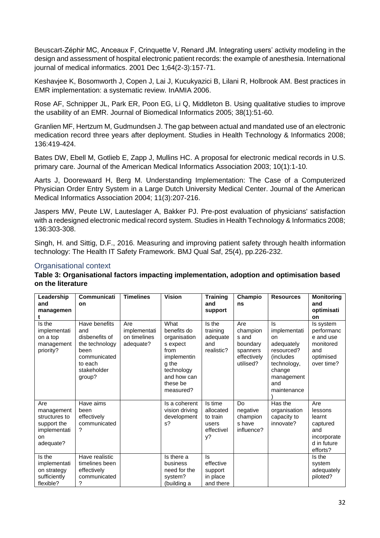Beuscart-Zéphir MC, Anceaux F, Crinquette V, Renard JM. Integrating users' activity modeling in the design and assessment of hospital electronic patient records: the example of anesthesia. International journal of medical informatics. 2001 Dec 1;64(2-3):157-71.

Keshavjee K, Bosomworth J, Copen J, Lai J, Kucukyazici B, Lilani R, Holbrook AM. Best practices in EMR implementation: a systematic review. InAMIA 2006.

Rose AF, Schnipper JL, Park ER, Poon EG, Li Q, Middleton B. Using qualitative studies to improve the usability of an EMR. Journal of Biomedical Informatics 2005; 38(1):51-60.

Granlien MF, Hertzum M, Gudmundsen J. The gap between actual and mandated use of an electronic medication record three years after deployment. Studies in Health Technology & Informatics 2008; 136:419-424.

Bates DW, Ebell M, Gotlieb E, Zapp J, Mullins HC. A proposal for electronic medical records in U.S. primary care. Journal of the American Medical Informatics Association 2003; 10(1):1-10.

Aarts J, Doorewaard H, Berg M. Understanding Implementation: The Case of a Computerized Physician Order Entry System in a Large Dutch University Medical Center. Journal of the American Medical Informatics Association 2004; 11(3):207-216.

Jaspers MW, Peute LW, Lauteslager A, Bakker PJ. Pre-post evaluation of physicians' satisfaction with a redesigned electronic medical record system. Studies in Health Technology & Informatics 2008; 136:303-308.

Singh, H. and Sittig, D.F., 2016. Measuring and improving patient safety through health information technology: The Health IT Safety Framework. BMJ Qual Saf, 25(4), pp.226-232.

# Organisational context

#### **Table 3: Organisational factors impacting implementation, adoption and optimisation based on the literature**

| Leadership<br>and<br>managemen                                                       | Communicati<br>on                                                                                                    | <b>Timelines</b>                                 | <b>Vision</b>                                                                                                                         | <b>Training</b><br>and<br>support                             | Champio<br>ns                                                                | <b>Resources</b>                                                                                                                 | <b>Monitoring</b><br>and<br>optimisati<br>on                                          |
|--------------------------------------------------------------------------------------|----------------------------------------------------------------------------------------------------------------------|--------------------------------------------------|---------------------------------------------------------------------------------------------------------------------------------------|---------------------------------------------------------------|------------------------------------------------------------------------------|----------------------------------------------------------------------------------------------------------------------------------|---------------------------------------------------------------------------------------|
| Is the<br>implementati<br>on a top<br>management<br>priority?                        | Have benefits<br>and<br>disbenefits of<br>the technology<br>been<br>communicated<br>to each<br>stakeholder<br>group? | Are<br>implementati<br>on timelines<br>adequate? | What<br>benefits do<br>organisation<br>s expect<br>from<br>implementin<br>g the<br>technology<br>and how can<br>these be<br>measured? | Is the<br>training<br>adequate<br>and<br>realistic?           | Are<br>champion<br>s and<br>boundary<br>spanners<br>effectively<br>utilised? | ls.<br>implementati<br>on<br>adequately<br>resourced?<br>(includes)<br>technology,<br>change<br>management<br>and<br>maintenance | Is system<br>performanc<br>e and use<br>monitored<br>and<br>optimised<br>over time?   |
| Are<br>management<br>structures to<br>support the<br>implementati<br>on<br>adequate? | Have aims<br>been<br>effectively<br>communicated<br>?                                                                |                                                  | Is a coherent<br>vision driving<br>development<br>$s$ ?                                                                               | Is time<br>allocated<br>to train<br>users<br>effectivel<br>y? | Do<br>negative<br>champion<br>s have<br>influence?                           | Has the<br>organisation<br>capacity to<br>innovate?                                                                              | Are<br>lessons<br>learnt<br>captured<br>and<br>incorporate<br>d in future<br>efforts? |
| Is the<br>implementati<br>on strategy<br>sufficiently<br>flexible?                   | Have realistic<br>timelines been<br>effectively<br>communicated<br>?                                                 |                                                  | Is there a<br>business<br>need for the<br>system?<br>(building a                                                                      | ls.<br>effective<br>support<br>in place<br>and there          |                                                                              |                                                                                                                                  | Is the<br>system<br>adequately<br>piloted?                                            |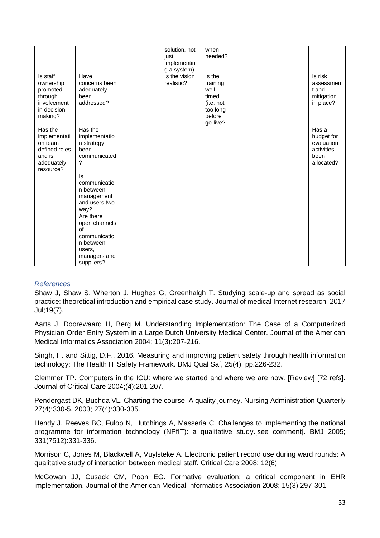|                                                                                          |                                                                                                       | solution, not<br>just<br>implementin<br>g a system) | when<br>needed?                                                                    |  |                                                                       |
|------------------------------------------------------------------------------------------|-------------------------------------------------------------------------------------------------------|-----------------------------------------------------|------------------------------------------------------------------------------------|--|-----------------------------------------------------------------------|
| Is staff<br>ownership<br>promoted<br>through<br>involvement<br>in decision<br>making?    | Have<br>concerns been<br>adequately<br>been<br>addressed?                                             | Is the vision<br>realistic?                         | Is the<br>training<br>well<br>timed<br>(i.e. not<br>too long<br>before<br>go-live? |  | Is risk<br>assessmen<br>t and<br>mitigation<br>in place?              |
| Has the<br>implementati<br>on team<br>defined roles<br>and is<br>adequately<br>resource? | Has the<br>implementatio<br>n strategy<br>been<br>communicated<br>?                                   |                                                     |                                                                                    |  | Has a<br>budget for<br>evaluation<br>activities<br>been<br>allocated? |
|                                                                                          | ls<br>communicatio<br>n between<br>management<br>and users two-<br>way?                               |                                                     |                                                                                    |  |                                                                       |
|                                                                                          | Are there<br>open channels<br>of<br>communicatio<br>n between<br>users,<br>managers and<br>suppliers? |                                                     |                                                                                    |  |                                                                       |

#### *References*

Shaw J, Shaw S, Wherton J, Hughes G, Greenhalgh T. Studying scale-up and spread as social practice: theoretical introduction and empirical case study. Journal of medical Internet research. 2017 Jul;19(7).

Aarts J, Doorewaard H, Berg M. Understanding Implementation: The Case of a Computerized Physician Order Entry System in a Large Dutch University Medical Center. Journal of the American Medical Informatics Association 2004; 11(3):207-216.

Singh, H. and Sittig, D.F., 2016. Measuring and improving patient safety through health information technology: The Health IT Safety Framework. BMJ Qual Saf, 25(4), pp.226-232.

Clemmer TP. Computers in the ICU: where we started and where we are now. [Review] [72 refs]. Journal of Critical Care 2004;(4):201-207.

Pendergast DK, Buchda VL. Charting the course. A quality journey. Nursing Administration Quarterly 27(4):330-5, 2003; 27(4):330-335.

Hendy J, Reeves BC, Fulop N, Hutchings A, Masseria C. Challenges to implementing the national programme for information technology (NPfIT): a qualitative study.[see comment]. BMJ 2005; 331(7512):331-336.

Morrison C, Jones M, Blackwell A, Vuylsteke A. Electronic patient record use during ward rounds: A qualitative study of interaction between medical staff. Critical Care 2008; 12(6).

McGowan JJ, Cusack CM, Poon EG. Formative evaluation: a critical component in EHR implementation. Journal of the American Medical Informatics Association 2008; 15(3):297-301.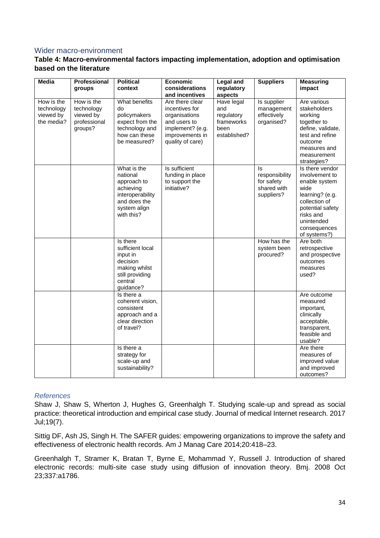#### Wider macro-environment

### **Table 4: Macro-environmental factors impacting implementation, adoption and optimisation based on the literature**

| <b>Media</b>                                        | Professional<br>groups                                           | <b>Political</b><br>context                                                                                           | Economic<br>considerations                                                                                                    | <b>Legal and</b><br>regulatory                                        | <b>Suppliers</b>                                                 | <b>Measuring</b><br>impact                                                                                                                                                    |
|-----------------------------------------------------|------------------------------------------------------------------|-----------------------------------------------------------------------------------------------------------------------|-------------------------------------------------------------------------------------------------------------------------------|-----------------------------------------------------------------------|------------------------------------------------------------------|-------------------------------------------------------------------------------------------------------------------------------------------------------------------------------|
|                                                     |                                                                  |                                                                                                                       | and incentives                                                                                                                | aspects                                                               |                                                                  |                                                                                                                                                                               |
| How is the<br>technology<br>viewed by<br>the media? | How is the<br>technology<br>viewed by<br>professional<br>groups? | What benefits<br>do<br>policymakers<br>expect from the<br>technology and<br>how can these<br>be measured?             | Are there clear<br>incentives for<br>organisations<br>and users to<br>implement? (e.g.<br>improvements in<br>quality of care) | Have legal<br>and<br>regulatory<br>frameworks<br>been<br>established? | Is supplier<br>management<br>effectively<br>organised?           | Are various<br>stakeholders<br>working<br>together to<br>define, validate,<br>test and refine<br>outcome<br>measures and<br>measurement<br>strategies?                        |
|                                                     |                                                                  | What is the<br>national<br>approach to<br>achieving<br>interoperability<br>and does the<br>system align<br>with this? | Is sufficient<br>funding in place<br>to support the<br>initiative?                                                            |                                                                       | ls.<br>responsibility<br>for safety<br>shared with<br>suppliers? | Is there vendor<br>involvement to<br>enable system<br>wide<br>learning? (e.g.<br>collection of<br>potential safety<br>risks and<br>unintended<br>consequences<br>of systems?) |
|                                                     |                                                                  | Is there<br>sufficient local<br>input in<br>decision<br>making whilst<br>still providing<br>central<br>guidance?      |                                                                                                                               |                                                                       | How has the<br>system been<br>procured?                          | Are both<br>retrospective<br>and prospective<br>outcomes<br>measures<br>used?                                                                                                 |
|                                                     |                                                                  | Is there a<br>coherent vision,<br>consistent<br>approach and a<br>clear direction<br>of travel?                       |                                                                                                                               |                                                                       |                                                                  | Are outcome<br>measured<br>important,<br>clinically<br>acceptable,<br>transparent,<br>feasible and<br>usable?                                                                 |
|                                                     |                                                                  | Is there a<br>strategy for<br>scale-up and<br>sustainability?                                                         |                                                                                                                               |                                                                       |                                                                  | Are there<br>measures of<br>improved value<br>and improved<br>outcomes?                                                                                                       |

#### *References*

Shaw J, Shaw S, Wherton J, Hughes G, Greenhalgh T. Studying scale-up and spread as social practice: theoretical introduction and empirical case study. Journal of medical Internet research. 2017 Jul;19(7).

Sittig DF, Ash JS, Singh H. The SAFER guides: empowering organizations to improve the safety and effectiveness of electronic health records. Am J Manag Care 2014;20:418–23.

Greenhalgh T, Stramer K, Bratan T, Byrne E, Mohammad Y, Russell J. Introduction of shared electronic records: multi-site case study using diffusion of innovation theory. Bmj. 2008 Oct 23;337:a1786.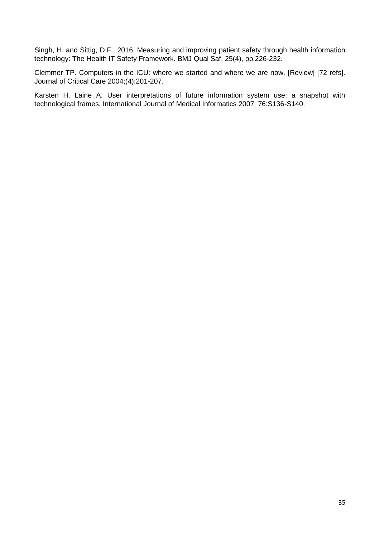Singh, H. and Sittig, D.F., 2016. Measuring and improving patient safety through health information technology: The Health IT Safety Framework. BMJ Qual Saf, 25(4), pp.226-232.

Clemmer TP. Computers in the ICU: where we started and where we are now. [Review] [72 refs]. Journal of Critical Care 2004;(4):201-207.

Karsten H, Laine A. User interpretations of future information system use: a snapshot with technological frames. International Journal of Medical Informatics 2007; 76:S136-S140.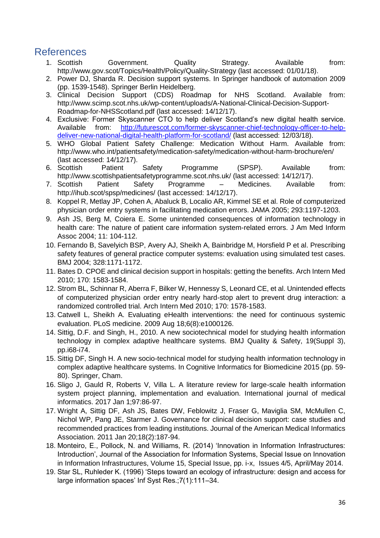# References

- 1. Scottish Government. Quality Strategy. Available from: http://www.gov.scot/Topics/Health/Policy/Quality-Strategy (last accessed: 01/01/18).
- 2. Power DJ, Sharda R. Decision support systems. In Springer handbook of automation 2009 (pp. 1539-1548). Springer Berlin Heidelberg.
- 3. Clinical Decision Support (CDS) Roadmap for NHS Scotland. Available from: http://www.scimp.scot.nhs.uk/wp-content/uploads/A-National-Clinical-Decision-Support-Roadmap-for-NHSScotland.pdf (last accessed: 14/12/17).
- 4. Exclusive: Former Skyscanner CTO to help deliver Scotland's new digital health service. Available from: http://futurescot.com/former-skyscanner-chief-technology-officer-to-helpdeliver-new-national-digital-health-platform-for-scotland/ (last accessed: 12/03/18).
- 5. WHO Global Patient Safety Challenge: Medication Without Harm. Available from: http://www.who.int/patientsafety/medication-safety/medication-without-harm-brochure/en/ (last accessed: 14/12/17).
- 6. Scottish Patient Safety Programme (SPSP). Available from: http://www.scottishpatientsafetyprogramme.scot.nhs.uk/ (last accessed: 14/12/17).
- 7. Scottish Patient Safety Programme Medicines. Available from: http://ihub.scot/spsp/medicines/ (last accessed: 14/12/17).
- 8. Koppel R, Metlay JP, Cohen A, Abaluck B, Localio AR, Kimmel SE et al. Role of computerized physician order entry systems in facilitating medication errors. JAMA 2005; 293:1197-1203.
- 9. Ash JS, Berg M, Coiera E. Some unintended consequences of information technology in health care: The nature of patient care information system-related errors. J Am Med Inform Assoc 2004; 11: 104-112.
- 10. Fernando B, Savelyich BSP, Avery AJ, Sheikh A, Bainbridge M, Horsfield P et al. Prescribing safety features of general practice computer systems: evaluation using simulated test cases. BMJ 2004; 328:1171-1172.
- 11. Bates D. CPOE and clinical decision support in hospitals: getting the benefits. Arch Intern Med 2010; 170: 1583-1584.
- 12. Strom BL, Schinnar R, Aberra F, Bilker W, Hennessy S, Leonard CE, et al. Unintended effects of computerized physician order entry nearly hard-stop alert to prevent drug interaction: a randomized controlled trial. Arch Intern Med 2010; 170: 1578-1583.
- 13. Catwell L, Sheikh A. Evaluating eHealth interventions: the need for continuous systemic evaluation. PLoS medicine. 2009 Aug 18;6(8):e1000126.
- 14. Sittig, D.F. and Singh, H., 2010. A new sociotechnical model for studying health information technology in complex adaptive healthcare systems. BMJ Quality & Safety, 19(Suppl 3), pp.i68-i74.
- 15. Sittig DF, Singh H. A new socio-technical model for studying health information technology in complex adaptive healthcare systems. In Cognitive Informatics for Biomedicine 2015 (pp. 59- 80). Springer, Cham.
- 16. Sligo J, Gauld R, Roberts V, Villa L. A literature review for large-scale health information system project planning, implementation and evaluation. International journal of medical informatics. 2017 Jan 1;97:86-97.
- 17. Wright A, Sittig DF, Ash JS, Bates DW, Feblowitz J, Fraser G, Maviglia SM, McMullen C, Nichol WP, Pang JE, Starmer J. Governance for clinical decision support: case studies and recommended practices from leading institutions. Journal of the American Medical Informatics Association. 2011 Jan 20;18(2):187-94.
- 18. Monteiro, E., Pollock, N. and Williams, R. (2014) 'Innovation in Information Infrastructures: Introduction', Journal of the Association for Information Systems, Special Issue on Innovation in Information Infrastructures, Volume 15, Special Issue, pp. i-x, Issues 4/5, April/May 2014.
- 19. Star SL, Ruhleder K. (1996) 'Steps toward an ecology of infrastructure: design and access for large information spaces' Inf Syst Res.;7(1):111–34.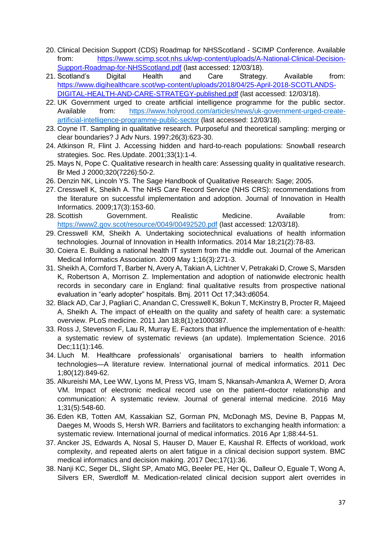- 20. Clinical Decision Support (CDS) Roadmap for NHSScotland SCIMP Conference. Available from: [https://www.scimp.scot.nhs.uk/wp-content/uploads/A-National-Clinical-Decision-](https://www.scimp.scot.nhs.uk/wp-content/uploads/A-National-Clinical-Decision-Support-Roadmap-for-NHSScotland.pdf)[Support-Roadmap-for-NHSScotland.pdf](https://www.scimp.scot.nhs.uk/wp-content/uploads/A-National-Clinical-Decision-Support-Roadmap-for-NHSScotland.pdf) (last accessed: 12/03/18).
- 21. Scotland's Digital Health and Care Strategy. Available from: [https://www.digihealthcare.scot/wp-content/uploads/2018/04/25-April-2018-SCOTLANDS-](https://www.digihealthcare.scot/wp-content/uploads/2018/04/25-April-2018-SCOTLANDS-DIGITAL-HEALTH-AND-CARE-STRATEGY-published.pdf)[DIGITAL-HEALTH-AND-CARE-STRATEGY-published.pdf](https://www.digihealthcare.scot/wp-content/uploads/2018/04/25-April-2018-SCOTLANDS-DIGITAL-HEALTH-AND-CARE-STRATEGY-published.pdf) (last accessed: 12/03/18).
- 22. UK Government urged to create artificial intelligence programme for the public sector. Available from: [https://www.holyrood.com/articles/news/uk-government-urged-create](https://www.holyrood.com/articles/news/uk-government-urged-create-artificial-intelligence-programme-public-sector)[artificial-intelligence-programme-public-sector](https://www.holyrood.com/articles/news/uk-government-urged-create-artificial-intelligence-programme-public-sector) (last accessed: 12/03/18).
- 23. Coyne IT. Sampling in qualitative research. Purposeful and theoretical sampling: merging or clear boundaries? J Adv Nurs. 1997;26(3):623-30.
- 24. Atkinson R, Flint J. Accessing hidden and hard-to-reach populations: Snowball research strategies. Soc. Res.Update. 2001;33(1):1-4.
- 25. Mays N, Pope C. Qualitative research in health care: Assessing quality in qualitative research. Br Med J 2000;320(7226):50-2.
- 26. Denzin NK, Lincoln YS. The Sage Handbook of Qualitative Research: Sage; 2005.
- 27. Cresswell K, Sheikh A. The NHS Care Record Service (NHS CRS): recommendations from the literature on successful implementation and adoption. Journal of Innovation in Health Informatics. 2009;17(3):153-60.
- 28. Scottish Government. Realistic Medicine. Available from: <https://www2.gov.scot/resource/0049/00492520.pdf> (last accessed: 12/03/18).
- 29. Cresswell KM, Sheikh A. Undertaking sociotechnical evaluations of health information technologies. Journal of Innovation in Health Informatics. 2014 Mar 18;21(2):78-83.
- 30. Coiera E. Building a national health IT system from the middle out. Journal of the American Medical Informatics Association. 2009 May 1;16(3):271-3.
- 31. Sheikh A, Cornford T, Barber N, Avery A, Takian A, Lichtner V, Petrakaki D, Crowe S, Marsden K, Robertson A, Morrison Z. Implementation and adoption of nationwide electronic health records in secondary care in England: final qualitative results from prospective national evaluation in "early adopter" hospitals. Bmj. 2011 Oct 17;343:d6054.
- 32. Black AD, Car J, Pagliari C, Anandan C, Cresswell K, Bokun T, McKinstry B, Procter R, Majeed A, Sheikh A. The impact of eHealth on the quality and safety of health care: a systematic overview. PLoS medicine. 2011 Jan 18;8(1):e1000387.
- 33. Ross J, Stevenson F, Lau R, Murray E. Factors that influence the implementation of e-health: a systematic review of systematic reviews (an update). Implementation Science. 2016 Dec;11(1):146.
- 34. Lluch M. Healthcare professionals' organisational barriers to health information technologies—A literature review. International journal of medical informatics. 2011 Dec 1;80(12):849-62.
- 35. Alkureishi MA, Lee WW, Lyons M, Press VG, Imam S, Nkansah-Amankra A, Werner D, Arora VM. Impact of electronic medical record use on the patient–doctor relationship and communication: A systematic review. Journal of general internal medicine. 2016 May 1;31(5):548-60.
- 36. Eden KB, Totten AM, Kassakian SZ, Gorman PN, McDonagh MS, Devine B, Pappas M, Daeges M, Woods S, Hersh WR. Barriers and facilitators to exchanging health information: a systematic review. International journal of medical informatics. 2016 Apr 1;88:44-51.
- 37. Ancker JS, Edwards A, Nosal S, Hauser D, Mauer E, Kaushal R. Effects of workload, work complexity, and repeated alerts on alert fatigue in a clinical decision support system. BMC medical informatics and decision making. 2017 Dec;17(1):36.
- 38. Nanji KC, Seger DL, Slight SP, Amato MG, Beeler PE, Her QL, Dalleur O, Eguale T, Wong A, Silvers ER, Swerdloff M. Medication-related clinical decision support alert overrides in